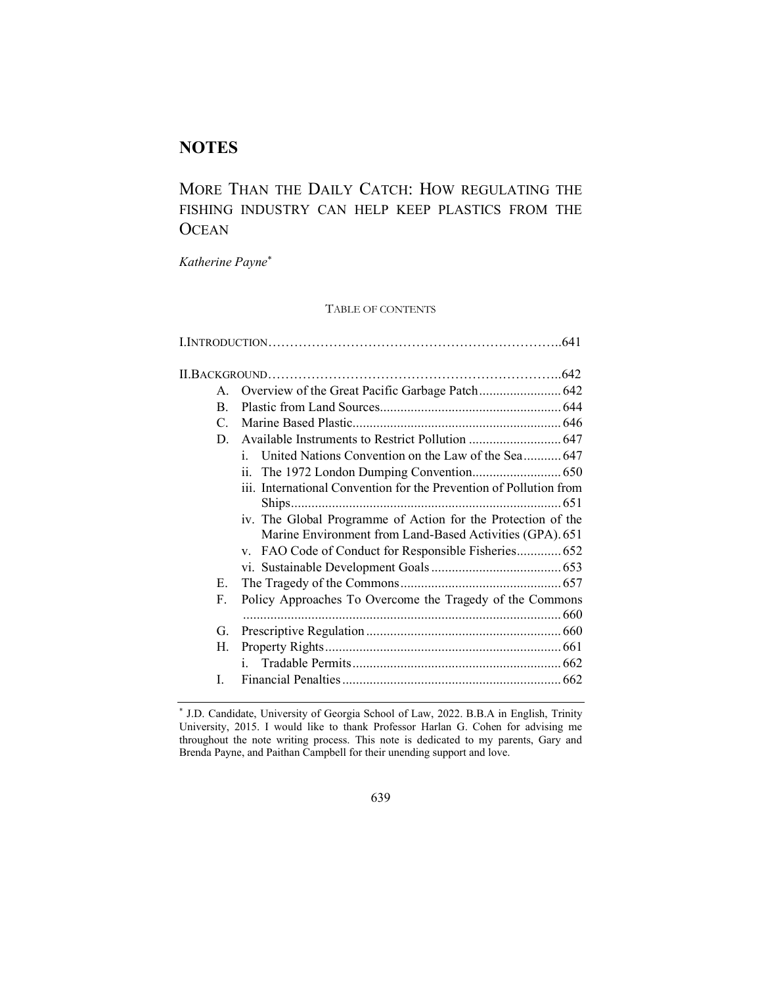# **NOTES**

# MORE THAN THE DAILY CATCH: HOW REGULATING THE FISHING INDUSTRY CAN HELP KEEP PLASTICS FROM THE **OCEAN**

*Katherine Payne*\*

TABLE OF CONTENTS

| $\mathsf{A}$    |                                                                                                                          |
|-----------------|--------------------------------------------------------------------------------------------------------------------------|
| <sub>R</sub>    |                                                                                                                          |
| $\mathcal{C}$ . |                                                                                                                          |
| D.              |                                                                                                                          |
|                 | i.                                                                                                                       |
|                 | 11.                                                                                                                      |
|                 | iii. International Convention for the Prevention of Pollution from<br>$\dots$ 651                                        |
|                 | iv. The Global Programme of Action for the Protection of the<br>Marine Environment from Land-Based Activities (GPA). 651 |
|                 |                                                                                                                          |
|                 |                                                                                                                          |
| Е.              |                                                                                                                          |
| $F_{\perp}$     | Policy Approaches To Overcome the Tragedy of the Commons                                                                 |
| G.              |                                                                                                                          |
| Н.              |                                                                                                                          |
|                 | i.                                                                                                                       |
| L               |                                                                                                                          |
|                 |                                                                                                                          |

<sup>\*</sup> J.D. Candidate, University of Georgia School of Law, 2022. B.B.A in English, Trinity University, 2015. I would like to thank Professor Harlan G. Cohen for advising me throughout the note writing process. This note is dedicated to my parents, Gary and Brenda Payne, and Paithan Campbell for their unending support and love.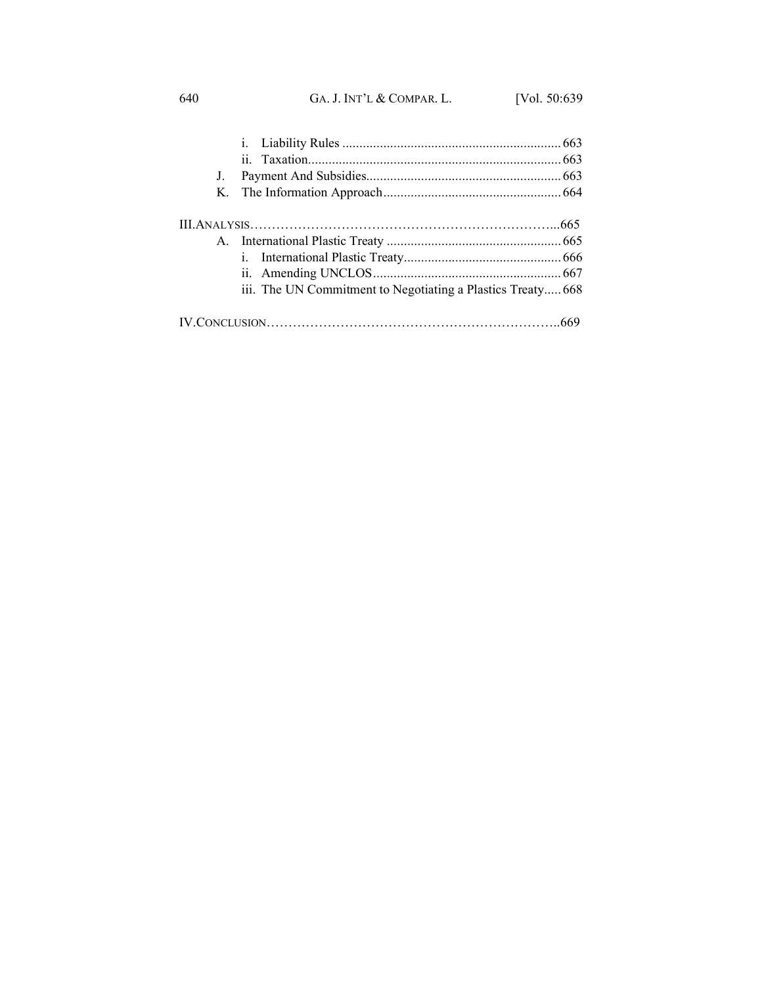640 GA. J. INT'L & COMPAR. L. [Vol. 50:639

| J. |                                                             |  |
|----|-------------------------------------------------------------|--|
|    |                                                             |  |
|    |                                                             |  |
|    |                                                             |  |
|    |                                                             |  |
|    |                                                             |  |
|    | iii. The UN Commitment to Negotiating a Plastics Treaty 668 |  |
|    |                                                             |  |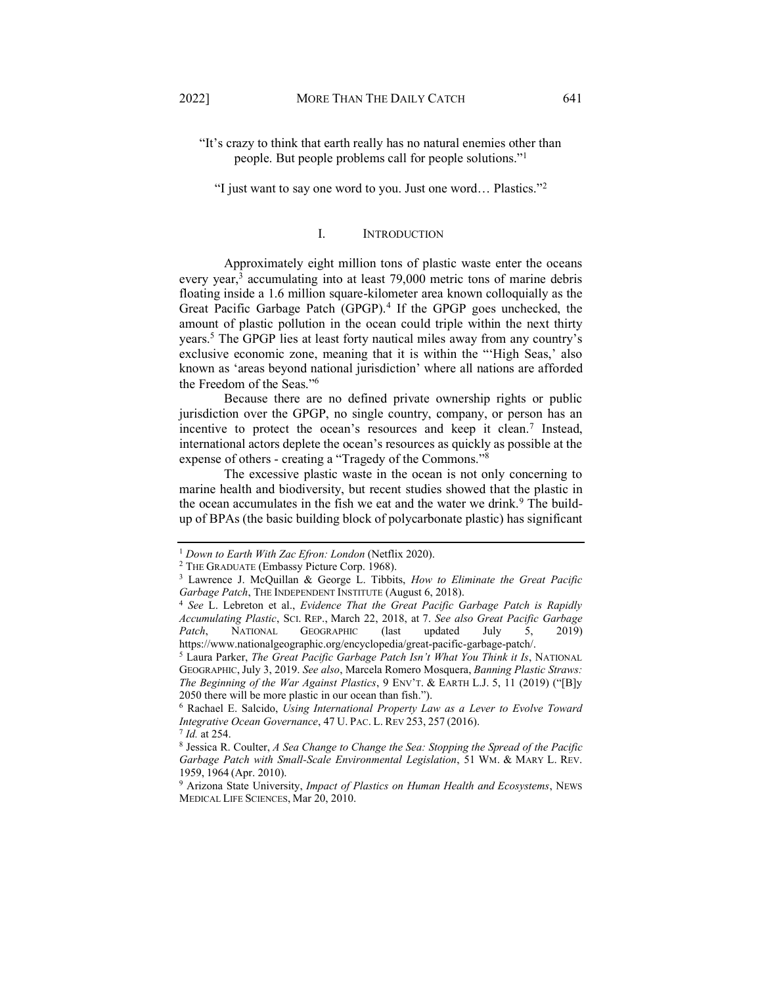"I just want to say one word to you. Just one word... Plastics."<sup>2</sup>

# I. INTRODUCTION

<span id="page-2-0"></span>Approximately eight million tons of plastic waste enter the oceans every year,<sup>3</sup> accumulating into at least 79,000 metric tons of marine debris floating inside a 1.6 million square-kilometer area known colloquially as the Great Pacific Garbage Patch (GPGP).4 If the GPGP goes unchecked, the amount of plastic pollution in the ocean could triple within the next thirty years.<sup>5</sup> The GPGP lies at least forty nautical miles away from any country's exclusive economic zone, meaning that it is within the "High Seas,' also known as 'areas beyond national jurisdiction' where all nations are afforded the Freedom of the Seas."<sup>6</sup>

Because there are no defined private ownership rights or public jurisdiction over the GPGP, no single country, company, or person has an incentive to protect the ocean's resources and keep it clean.<sup>7</sup> Instead, international actors deplete the ocean's resources as quickly as possible at the expense of others - creating a "Tragedy of the Commons." $8$ 

The excessive plastic waste in the ocean is not only concerning to marine health and biodiversity, but recent studies showed that the plastic in the ocean accumulates in the fish we eat and the water we drink.<sup>9</sup> The buildup of BPAs (the basic building block of polycarbonate plastic) has significant

<sup>1</sup> *Down to Earth With Zac Efron: London* (Netflix 2020). 2 THE GRADUATE (Embassy Picture Corp. 1968). 3 Lawrence J. McQuillan & George L. Tibbits, *How to Eliminate the Great Pacific Garbage Patch*, THE INDEPENDENT INSTITUTE (August 6, 2018).

<sup>4</sup> *See* L. Lebreton et al., *Evidence That the Great Pacific Garbage Patch is Rapidly Accumulating Plastic*, SCI. REP., March 22, 2018, at 7. *See also Great Pacific Garbage Patch*, NATIONAL GEOGRAPHIC (last updated July 5, 2019) https://www.nationalgeographic.org/encyclopedia/great-pacific-garbage-patch/.

<sup>&</sup>lt;sup>5</sup> Laura Parker, *The Great Pacific Garbage Patch Isn't What You Think it Is*, NATIONAL GEOGRAPHIC,July 3, 2019. *See also*, Marcela Romero Mosquera, *Banning Plastic Straws: The Beginning of the War Against Plastics*,  $9 \text{ Env} \text{'r}$ . & EARTH L.J. 5, 11 (2019) ("[B] $\text{y}$ 2050 there will be more plastic in our ocean than fish.´).

<sup>6</sup> Rachael E. Salcido, *Using International Property Law as a Lever to Evolve Toward Integrative Ocean Governance*, 47 U. PAC. L. REV 253, 257 (2016).

<sup>&</sup>lt;sup>7</sup> *Id.* at 254.<br><sup>8</sup> Jessica R. Coulter, *A Sea Change to Change the Sea: Stopping the Spread of the Pacific Garbage Patch with Small-Scale Environmental Legislation*, 51 WM. & MARY L. REV. 1959, 1964 (Apr. 2010).

<sup>9</sup> Arizona State University, *Impact of Plastics on Human Health and Ecosystems*, NEWS MEDICAL LIFE SCIENCES, Mar 20, 2010.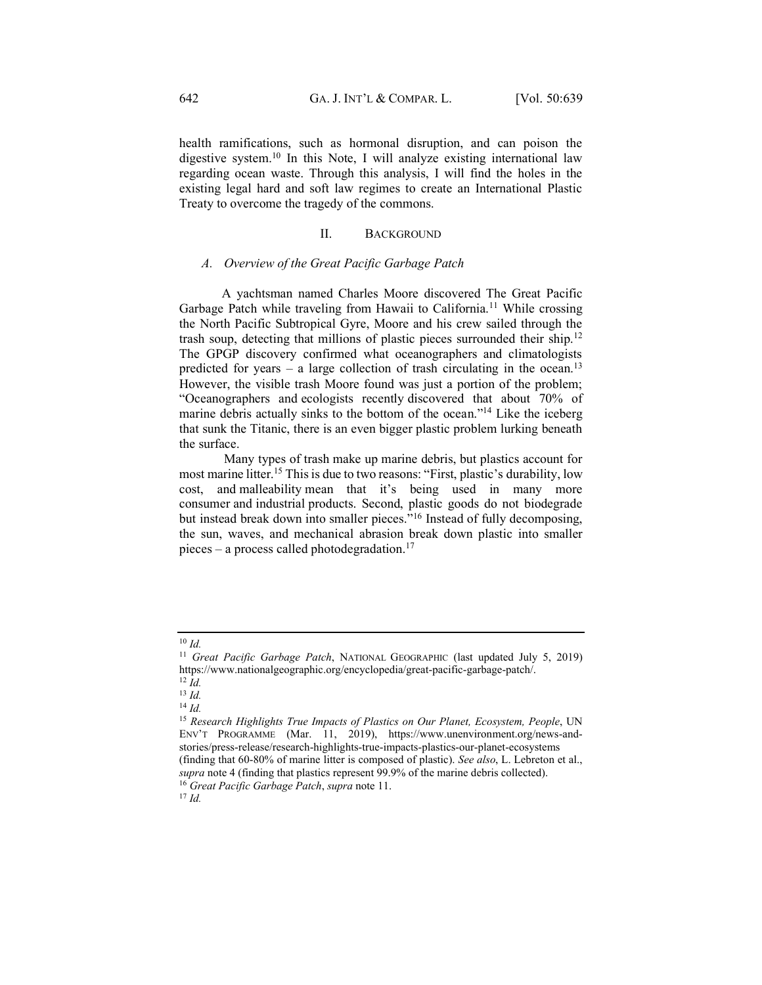health ramifications, such as hormonal disruption, and can poison the digestive system.<sup>10</sup> In this Note, I will analyze existing international law regarding ocean waste. Through this analysis, I will find the holes in the existing legal hard and soft law regimes to create an International Plastic Treaty to overcome the tragedy of the commons.

# II. BACKGROUND

# <span id="page-3-1"></span><span id="page-3-0"></span>*A. Overview of the Great Pacific Garbage Patch*

 A yachtsman named Charles Moore discovered The Great Pacific Garbage Patch while traveling from Hawaii to California.<sup>11</sup> While crossing the North Pacific Subtropical Gyre, Moore and his crew sailed through the trash soup, detecting that millions of plastic pieces surrounded their ship.<sup>12</sup> The GPGP discovery confirmed what oceanographers and climatologists predicted for years  $-$  a large collection of trash circulating in the ocean.<sup>13</sup> However, the visible trash Moore found was just a portion of the problem; ³Oceanographers and ecologists recently discovered that about 70% of marine debris actually sinks to the bottom of the ocean.<sup>"14</sup> Like the iceberg that sunk the Titanic, there is an even bigger plastic problem lurking beneath the surface.

Many types of trash make up marine debris, but plastics account for most marine litter.<sup>15</sup> This is due to two reasons: "First, plastic's durability, low cost, and malleability mean that it's being used in many more consumer and industrial products. Second, plastic goods do not biodegrade but instead break down into smaller pieces."<sup>16</sup> Instead of fully decomposing, the sun, waves, and mechanical abrasion break down plastic into smaller pieces  $-$  a process called photodegradation.<sup>17</sup>

<sup>10</sup> *Id.*

<sup>11</sup> *Great Pacific Garbage Patch*, NATIONAL GEOGRAPHIC (last updated July 5, 2019) https://www.nationalgeographic.org/encyclopedia/great-pacific-garbage-patch/.

<sup>12</sup> *Id.* <sup>13</sup> *Id.*

<sup>14</sup> *Id.* 

<sup>&</sup>lt;sup>15</sup> Research Highlights True Impacts of Plastics on Our Planet, Ecosystem, People, UN ENV'T PROGRAMME (Mar. 11, 2019), https://www.unenvironment.org/news-andstories/press-release/research-highlights-true-impacts-plastics-our-planet-ecosystems (finding that 60-80% of marine litter is composed of plastic). *See also*, L. Lebreton et al., *supra* note 4 (finding that plastics represent 99.9% of the marine debris collected). 16 *Great Pacific Garbage Patch*, *supra* note 11.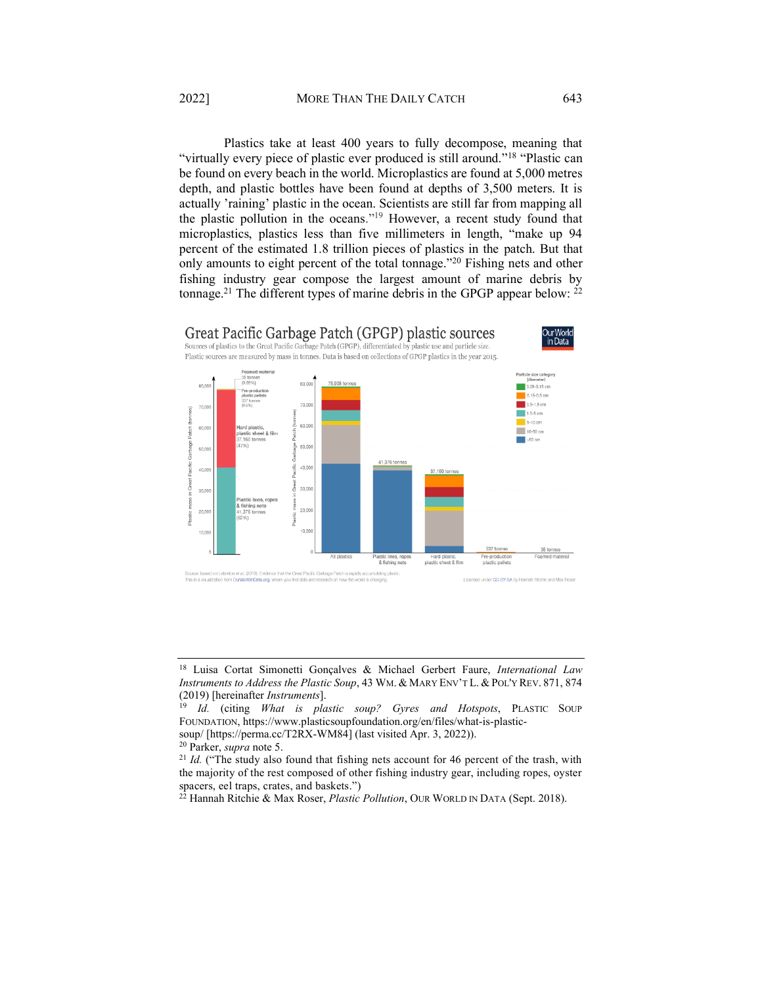Plastics take at least 400 years to fully decompose, meaning that "virtually every piece of plastic ever produced is still around."<sup>18</sup> "Plastic can be found on every beach in the world. Microplastics are found at 5,000 metres depth, and plastic bottles have been found at depths of 3,500 meters. It is actually 'raining' plastic in the ocean. Scientists are still far from mapping all the plastic pollution in the oceans."<sup>19</sup> However, a recent study found that microplastics, plastics less than five millimeters in length, "make up 94 percent of the estimated 1.8 trillion pieces of plastics in the patch. But that only amounts to eight percent of the total tonnage.<sup>"20</sup> Fishing nets and other fishing industry gear compose the largest amount of marine debris by tonnage.<sup>21</sup> The different types of marine debris in the GPGP appear below:  $22$ 



<sup>18</sup> Luisa Cortat Simonetti Gonçalves & Michael Gerbert Faure, *International Law Instruments to Address the Plastic Soup*, 43 WM. & MARY ENV'T L. & POL'Y REV. 871, 874 (2019) [hereinafter *Instruments*].

<sup>19</sup> *Id.* (citing *What is plastic soup? Gyres and Hotspots*, PLASTIC SOUP FOUNDATION, https://www.plasticsoupfoundation.org/en/files/what-is-plastic-

soup/ [https://perma.cc/T2RX-WM84] (last visited Apr. 3, 2022)). 20 Parker, *supra* note 5.

<sup>&</sup>lt;sup>21</sup> *Id.* ("The study also found that fishing nets account for 46 percent of the trash, with the majority of the rest composed of other fishing industry gear, including ropes, oyster spacers, eel traps, crates, and baskets.´)

<sup>22</sup> Hannah Ritchie & Max Roser, *Plastic Pollution*, OUR WORLD IN DATA (Sept. 2018).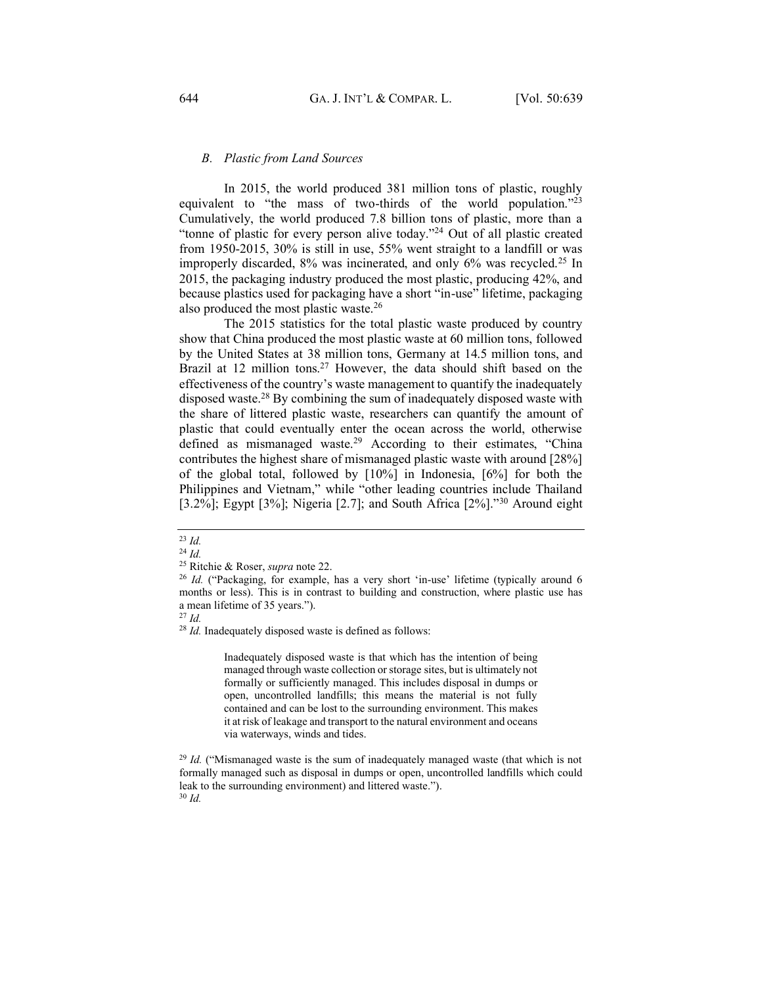# <span id="page-5-0"></span>*B. Plastic from Land Sources*

In 2015, the world produced 381 million tons of plastic, roughly equivalent to "the mass of two-thirds of the world population."<sup>23</sup> Cumulatively, the world produced 7.8 billion tons of plastic, more than a "tonne of plastic for every person alive today."<sup>24</sup> Out of all plastic created from 1950-2015, 30% is still in use, 55% went straight to a landfill or was improperly discarded, 8% was incinerated, and only 6% was recycled.25 In 2015, the packaging industry produced the most plastic, producing 42%, and because plastics used for packaging have a short "in-use" lifetime, packaging also produced the most plastic waste.26

The 2015 statistics for the total plastic waste produced by country show that China produced the most plastic waste at 60 million tons, followed by the United States at 38 million tons, Germany at 14.5 million tons, and Brazil at 12 million tons.<sup>27</sup> However, the data should shift based on the effectiveness of the country's waste management to quantify the inadequately disposed waste.28 By combining the sum of inadequately disposed waste with the share of littered plastic waste, researchers can quantify the amount of plastic that could eventually enter the ocean across the world, otherwise defined as mismanaged waste.<sup>29</sup> According to their estimates, "China contributes the highest share of mismanaged plastic waste with around [28%] of the global total, followed by [10%] in Indonesia, [6%] for both the Philippines and Vietnam," while "other leading countries include Thailand [3.2%]; Egypt [3%]; Nigeria [2.7]; and South Africa  $[2\%]$ .<sup>30</sup> Around eight

<sup>28</sup> *Id.* Inadequately disposed waste is defined as follows:

Inadequately disposed waste is that which has the intention of being managed through waste collection or storage sites, but is ultimately not formally or sufficiently managed. This includes disposal in dumps or open, uncontrolled landfills; this means the material is not fully contained and can be lost to the surrounding environment. This makes it at risk of leakage and transport to the natural environment and oceans via waterways, winds and tides.

<sup>23</sup> *Id.*

<sup>24</sup> *Id.*

<sup>25</sup> Ritchie & Roser, *supra* note 22.

 $26$  *Id.* ("Packaging, for example, has a very short 'in-use' lifetime (typically around 6 months or less). This is in contrast to building and construction, where plastic use has a mean lifetime of 35 years.").

<sup>27</sup> *Id.*

<sup>&</sup>lt;sup>29</sup> *Id.* ("Mismanaged waste is the sum of inadequately managed waste (that which is not formally managed such as disposal in dumps or open, uncontrolled landfills which could leak to the surrounding environment) and littered waste.´). <sup>30</sup> *Id.*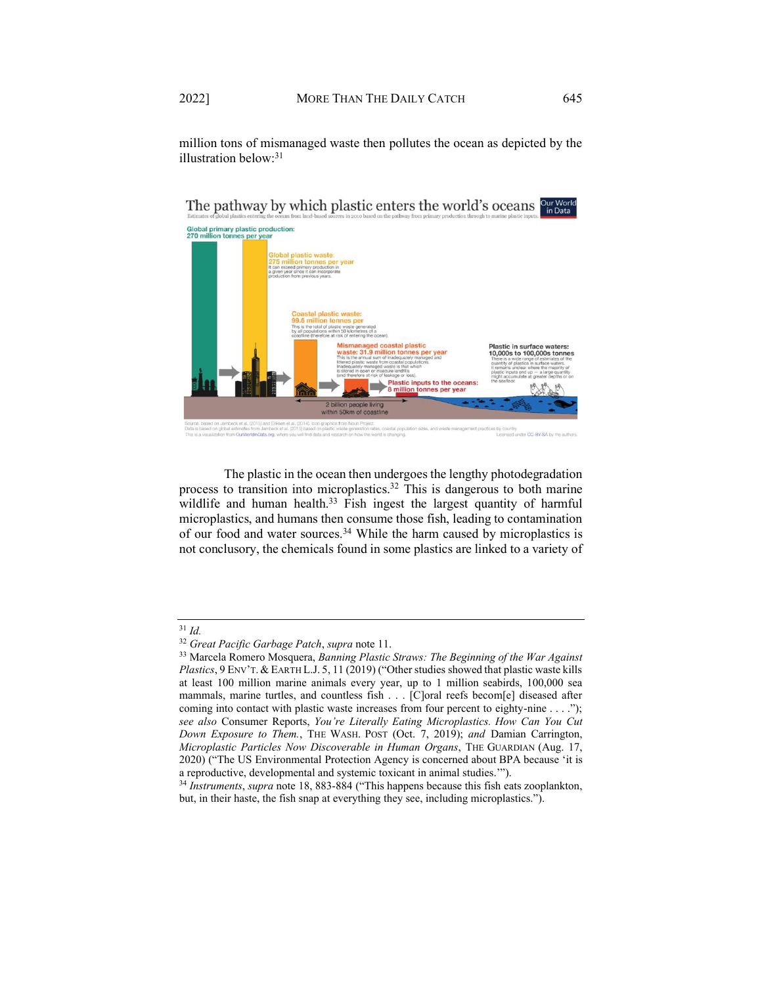million tons of mismanaged waste then pollutes the ocean as depicted by the illustration below:31

The pathway by which plastic enters the world's oceans our World

# Global primary plastic production<br>270 million tonnes per year Plastic in surface waters 10,000s to 100,000s tonn etic inr ler CC-BY-

The plastic in the ocean then undergoes the lengthy photodegradation process to transition into microplastics.<sup>32</sup> This is dangerous to both marine wildlife and human health.<sup>33</sup> Fish ingest the largest quantity of harmful microplastics, and humans then consume those fish, leading to contamination of our food and water sources.<sup>34</sup> While the harm caused by microplastics is not conclusory, the chemicals found in some plastics are linked to a variety of

<sup>32</sup> *Great Pacific Garbage Patch*, *supra* note 11.

<sup>33</sup> Marcela Romero Mosquera, *Banning Plastic Straws: The Beginning of the War Against Plastics*, 9 ENV'T. & EARTH L.J. 5, 11 (2019) ("Other studies showed that plastic waste kills at least 100 million marine animals every year, up to 1 million seabirds, 100,000 sea mammals, marine turtles, and countless fish . . . [C]oral reefs becom[e] diseased after coming into contact with plastic waste increases from four percent to eighty-nine . . . .´); *see also Consumer Reports, You're Literally Eating Microplastics. How Can You Cut Down Exposure to Them.*, THE WASH. POST (Oct. 7, 2019); *and* Damian Carrington, *Microplastic Particles Now Discoverable in Human Organs*, THE GUARDIAN (Aug. 17, 2020) ("The US Environmental Protection Agency is concerned about BPA because 'it is a reproductive, developmental and systemic toxicant in animal studies."").

<sup>&</sup>lt;sup>34</sup> *Instruments*, *supra* note 18, 883-884 ("This happens because this fish eats zooplankton, but, in their haste, the fish snap at everything they see, including microplastics.<sup>"</sup>).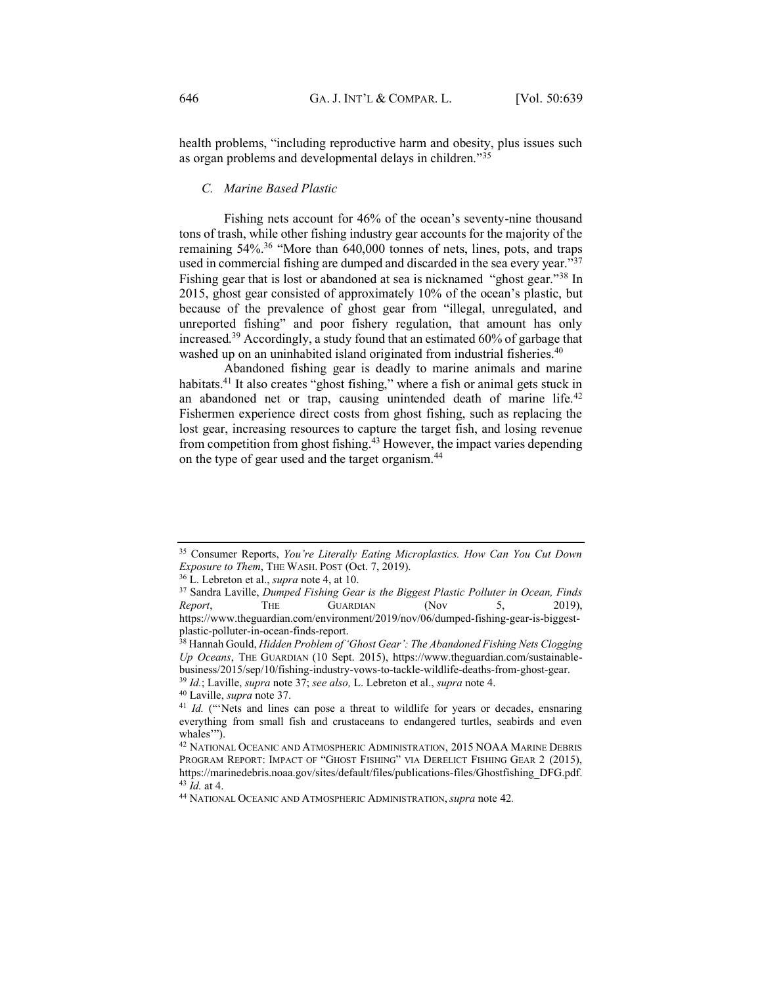health problems, "including reproductive harm and obesity, plus issues such as organ problems and developmental delays in children.<sup> $35$ </sup>

# <span id="page-7-0"></span>*C. Marine Based Plastic*

Fishing nets account for 46% of the ocean's seventy-nine thousand tons of trash, while other fishing industry gear accounts for the majority of the remaining  $54\%$ .<sup>36</sup> "More than  $640,000$  tonnes of nets, lines, pots, and traps used in commercial fishing are dumped and discarded in the sea every year.<sup> $\overline{37}$ </sup> Fishing gear that is lost or abandoned at sea is nicknamed "ghost gear.<sup>"38</sup> In 2015, ghost gear consisted of approximately  $10%$  of the ocean's plastic, but because of the prevalence of ghost gear from "illegal, unregulated, and unreported fishing" and poor fishery regulation, that amount has only increased.39 Accordingly, a study found that an estimated 60% of garbage that washed up on an uninhabited island originated from industrial fisheries.<sup>40</sup>

Abandoned fishing gear is deadly to marine animals and marine habitats.<sup>41</sup> It also creates "ghost fishing," where a fish or animal gets stuck in an abandoned net or trap, causing unintended death of marine life.<sup>42</sup> Fishermen experience direct costs from ghost fishing, such as replacing the lost gear, increasing resources to capture the target fish, and losing revenue from competition from ghost fishing.43 However, the impact varies depending on the type of gear used and the target organism.44

<sup>&</sup>lt;sup>35</sup> Consumer Reports, *You're Literally Eating Microplastics. How Can You Cut Down Exposure to Them*, THE WASH. POST (Oct. 7, 2019). 36 L. Lebreton et al., *supra* note 4, at 10.

<sup>37</sup> Sandra Laville, *Dumped Fishing Gear is the Biggest Plastic Polluter in Ocean, Finds Report*, THE GUARDIAN (Nov 5, 2019), https://www.theguardian.com/environment/2019/nov/06/dumped-fishing-gear-is-biggestplastic-polluter-in-ocean-finds-report.<br><sup>38</sup> Hannah Gould, *Hidden Problem of 'Ghost Gear': The Abandoned Fishing Nets Clogging* 

*Up Oceans*, THE GUARDIAN (10 Sept. 2015), https://www.theguardian.com/sustainablebusiness/2015/sep/10/fishing-industry-vows-to-tackle-wildlife-deaths-from-ghost-gear. 39 *Id.*; Laville, *supra* note 37; *see also,* L. Lebreton et al., *supra* note 4.

<sup>&</sup>lt;sup>41</sup> Id. ("Nets and lines can pose a threat to wildlife for years or decades, ensnaring everything from small fish and crustaceans to endangered turtles, seabirds and even whales"").

<sup>42</sup> NATIONAL OCEANIC AND ATMOSPHERIC ADMINISTRATION, 2015 NOAA MARINE DEBRIS PROGRAM REPORT: IMPACT OF "GHOST FISHING" VIA DERELICT FISHING GEAR 2 (2015), https://marinedebris.noaa.gov/sites/default/files/publications-files/Ghostfishing\_DFG.pdf. 43 *Id.* at 4.

<sup>44</sup> NATIONAL OCEANIC AND ATMOSPHERIC ADMINISTRATION,*supra* note 42*.*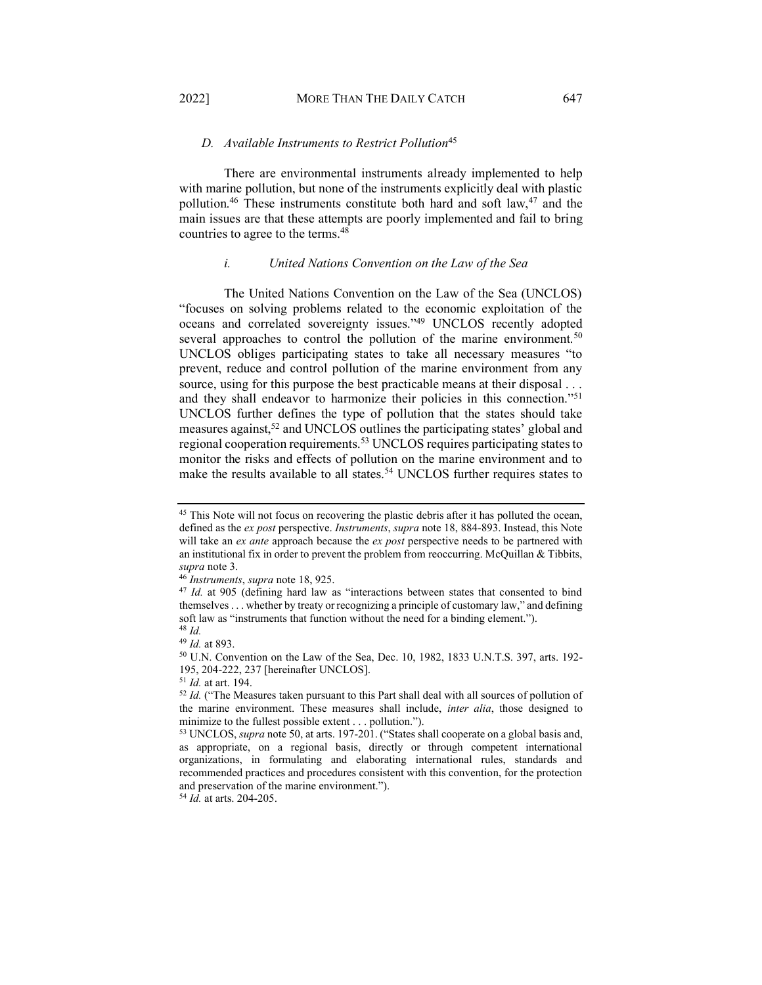# <span id="page-8-0"></span>*D. Available Instruments to Restrict Pollution*<sup>45</sup>

There are environmental instruments already implemented to help with marine pollution, but none of the instruments explicitly deal with plastic pollution.<sup>46</sup> These instruments constitute both hard and soft law,<sup>47</sup> and the main issues are that these attempts are poorly implemented and fail to bring countries to agree to the terms.48

# *i. United Nations Convention on the Law of the Sea*

<span id="page-8-1"></span>The United Nations Convention on the Law of the Sea (UNCLOS) "focuses on solving problems related to the economic exploitation of the oceans and correlated sovereignty issues.<sup>"49</sup> UNCLOS recently adopted several approaches to control the pollution of the marine environment.<sup>50</sup> UNCLOS obliges participating states to take all necessary measures "to prevent, reduce and control pollution of the marine environment from any source, using for this purpose the best practicable means at their disposal ... and they shall endeavor to harmonize their policies in this connection.<sup>"51</sup> UNCLOS further defines the type of pollution that the states should take measures against,<sup>52</sup> and UNCLOS outlines the participating states' global and regional cooperation requirements.53 UNCLOS requires participating states to monitor the risks and effects of pollution on the marine environment and to make the results available to all states.<sup>54</sup> UNCLOS further requires states to

<sup>&</sup>lt;sup>45</sup> This Note will not focus on recovering the plastic debris after it has polluted the ocean, defined as the *ex post* perspective. *Instruments*, *supra* note 18, 884-893. Instead, this Note will take an *ex ante* approach because the *ex post* perspective needs to be partnered with an institutional fix in order to prevent the problem from reoccurring. McQuillan & Tibbits, *supra* note 3. 46 *Instruments*, *supra* note 18, 925.

<sup>&</sup>lt;sup>47</sup> *Id.* at 905 (defining hard law as "interactions between states that consented to bind themselves  $\dots$  whether by treaty or recognizing a principle of customary law," and defining soft law as "instruments that function without the need for a binding element.").

<sup>&</sup>lt;sup>48</sup> *Id.* 49 *Id.* at 893.

<sup>&</sup>lt;sup>50</sup> U.N. Convention on the Law of the Sea, Dec. 10, 1982, 1833 U.N.T.S. 397, arts. 192-195, 204-222, 237 [hereinafter UNCLOS].<br><sup>51</sup> *Id.* at art. 194.<br><sup>52</sup> *Id.* ("The Measures taken pursuant to this Part shall deal with all sources of pollution of

the marine environment. These measures shall include, *inter alia*, those designed to minimize to the fullest possible extent  $\ldots$  pollution.<sup>"</sup>).

<sup>&</sup>lt;sup>53</sup> UNCLOS, *supra* note 50, at arts. 197-201. ("States shall cooperate on a global basis and, as appropriate, on a regional basis, directly or through competent international organizations, in formulating and elaborating international rules, standards and recommended practices and procedures consistent with this convention, for the protection and preservation of the marine environment.´).

<sup>54</sup> *Id.* at arts. 204-205.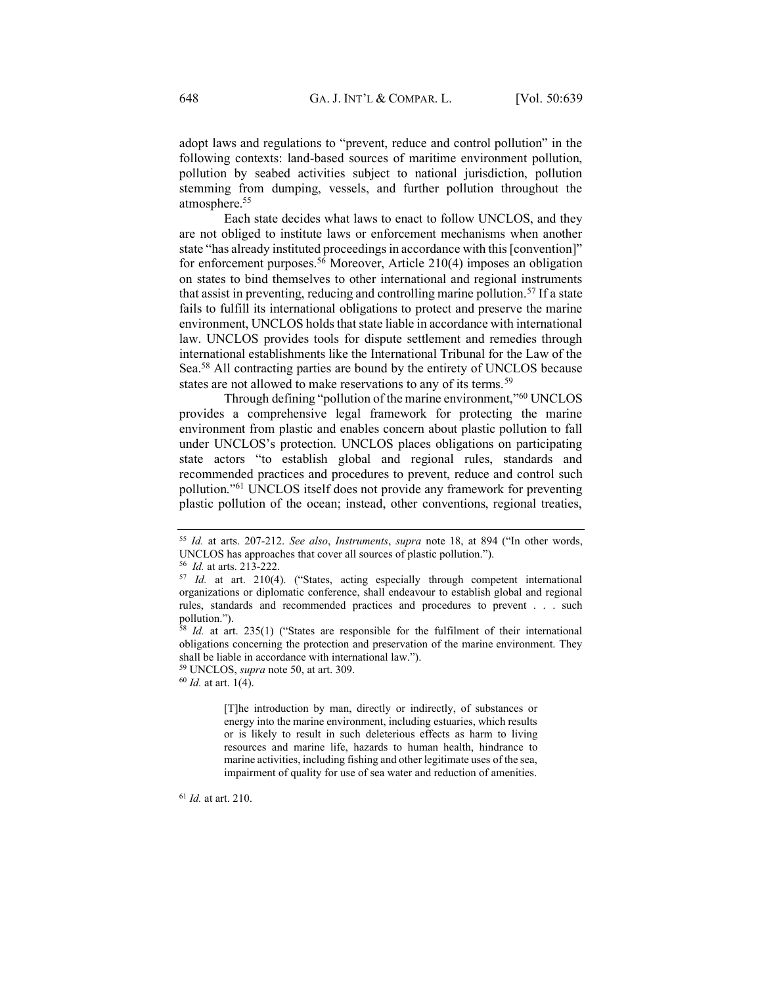adopt laws and regulations to "prevent, reduce and control pollution" in the following contexts: land-based sources of maritime environment pollution, pollution by seabed activities subject to national jurisdiction, pollution stemming from dumping, vessels, and further pollution throughout the atmosphere.55

Each state decides what laws to enact to follow UNCLOS, and they are not obliged to institute laws or enforcement mechanisms when another state "has already instituted proceedings in accordance with this [convention]" for enforcement purposes.<sup>56</sup> Moreover, Article 210(4) imposes an obligation on states to bind themselves to other international and regional instruments that assist in preventing, reducing and controlling marine pollution.<sup>57</sup> If a state fails to fulfill its international obligations to protect and preserve the marine environment, UNCLOS holds that state liable in accordance with international law. UNCLOS provides tools for dispute settlement and remedies through international establishments like the International Tribunal for the Law of the Sea.<sup>58</sup> All contracting parties are bound by the entirety of UNCLOS because states are not allowed to make reservations to any of its terms.<sup>59</sup>

Through defining "pollution of the marine environment,"<sup>60</sup> UNCLOS provides a comprehensive legal framework for protecting the marine environment from plastic and enables concern about plastic pollution to fall under UNCLOS's protection. UNCLOS places obligations on participating state actors "to establish global and regional rules, standards and recommended practices and procedures to prevent, reduce and control such pollution."<sup>61</sup> UNCLOS itself does not provide any framework for preventing plastic pollution of the ocean; instead, other conventions, regional treaties,

[T]he introduction by man, directly or indirectly, of substances or energy into the marine environment, including estuaries, which results or is likely to result in such deleterious effects as harm to living resources and marine life, hazards to human health, hindrance to marine activities, including fishing and other legitimate uses of the sea, impairment of quality for use of sea water and reduction of amenities.

<sup>61</sup> *Id.* at art. 210.

<sup>&</sup>lt;sup>55</sup> Id. at arts. 207-212. *See also, Instruments, supra* note 18, at 894 ("In other words, UNCLOS has approaches that cover all sources of plastic pollution.<sup>"</sup>).<sup>56</sup> *Id.* at arts. 213-222.

<sup>&</sup>lt;sup>57</sup> *Id.* at art. 210(4). ("States, acting especially through competent international organizations or diplomatic conference, shall endeavour to establish global and regional rules, standards and recommended practices and procedures to prevent . . . such pollution.").

<sup>&</sup>lt;sup>8</sup> *Id.* at art. 235(1) ("States are responsible for the fulfilment of their international obligations concerning the protection and preservation of the marine environment. They shall be liable in accordance with international law.´).

<sup>59</sup> UNCLOS, *supra* note 50, at art. 309. 60 *Id.* at art. 1(4).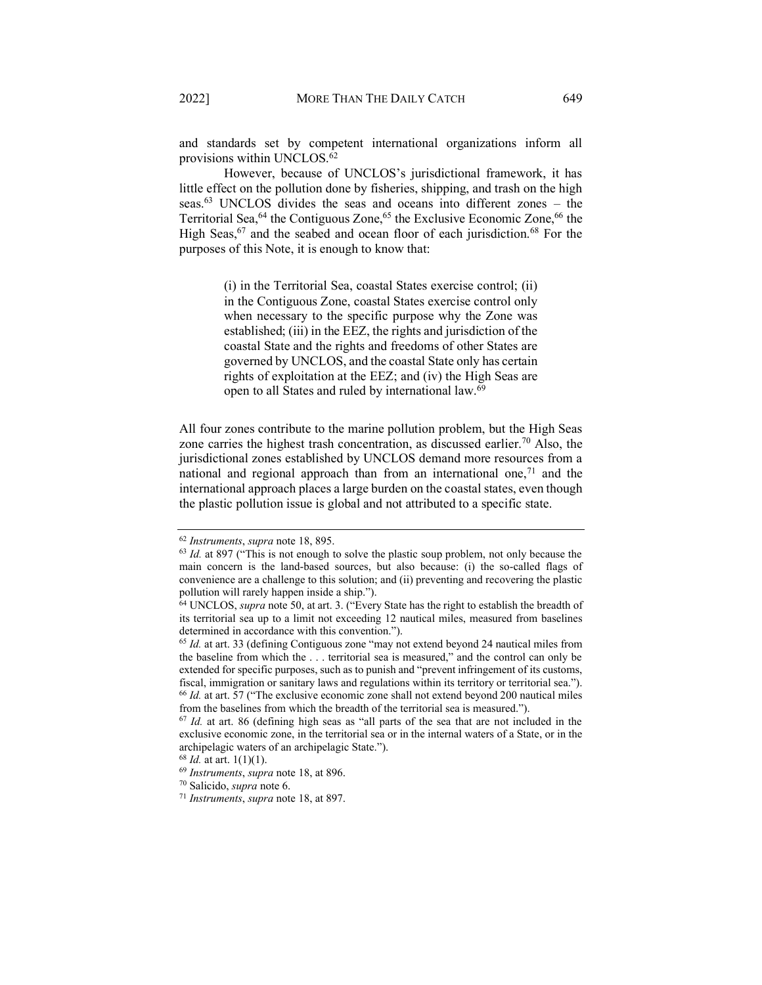and standards set by competent international organizations inform all provisions within UNCLOS.<sup>62</sup>

However, because of UNCLOS's jurisdictional framework, it has little effect on the pollution done by fisheries, shipping, and trash on the high seas. $63$  UNCLOS divides the seas and oceans into different zones  $-$  the Territorial Sea,<sup>64</sup> the Contiguous Zone,<sup>65</sup> the Exclusive Economic Zone,<sup>66</sup> the High Seas,  $67$  and the seabed and ocean floor of each jurisdiction.<sup>68</sup> For the purposes of this Note, it is enough to know that:

> (i) in the Territorial Sea, coastal States exercise control; (ii) in the Contiguous Zone, coastal States exercise control only when necessary to the specific purpose why the Zone was established; (iii) in the EEZ, the rights and jurisdiction of the coastal State and the rights and freedoms of other States are governed by UNCLOS, and the coastal State only has certain rights of exploitation at the EEZ; and (iv) the High Seas are open to all States and ruled by international law.69

All four zones contribute to the marine pollution problem, but the High Seas zone carries the highest trash concentration, as discussed earlier.<sup>70</sup> Also, the jurisdictional zones established by UNCLOS demand more resources from a national and regional approach than from an international one,  $71$  and the international approach places a large burden on the coastal states, even though the plastic pollution issue is global and not attributed to a specific state.

<sup>&</sup>lt;sup>62</sup> *Instruments*, *supra* note 18, 895. <sup>63</sup> *Id.* at 897 ("This is not enough to solve the plastic soup problem, not only because the main concern is the land-based sources, but also because: (i) the so-called flags of convenience are a challenge to this solution; and (ii) preventing and recovering the plastic pollution will rarely happen inside a ship.").

<sup>&</sup>lt;sup>64</sup> UNCLOS, *supra* note 50, at art. 3. ("Every State has the right to establish the breadth of its territorial sea up to a limit not exceeding 12 nautical miles, measured from baselines determined in accordance with this convention.´).

 $65$  *Id.* at art. 33 (defining Contiguous zone "may not extend beyond 24 nautical miles from the baseline from which the  $\dots$  territorial sea is measured," and the control can only be extended for specific purposes, such as to punish and "prevent infringement of its customs, fiscal, immigration or sanitary laws and regulations within its territory or territorial sea.<sup>\*</sup>). <sup>66</sup> *Id.* at art. 57 ("The exclusive economic zone shall not extend beyond 200 nautical miles from the baselines from which the breadth of the territorial sea is measured.´).

<sup>&</sup>lt;sup>67</sup> *Id.* at art. 86 (defining high seas as "all parts of the sea that are not included in the exclusive economic zone, in the territorial sea or in the internal waters of a State, or in the archipelagic waters of an archipelagic State.'').  $68$  *Id.* at art. 1(1)(1).

<sup>68</sup> *Id.* at art. 1(1)(1). 69 *Instruments*, *supra* note 18, at 896. 70 Salicido, *supra* note 6. 71 *Instruments*, *supra* note 18, at 897.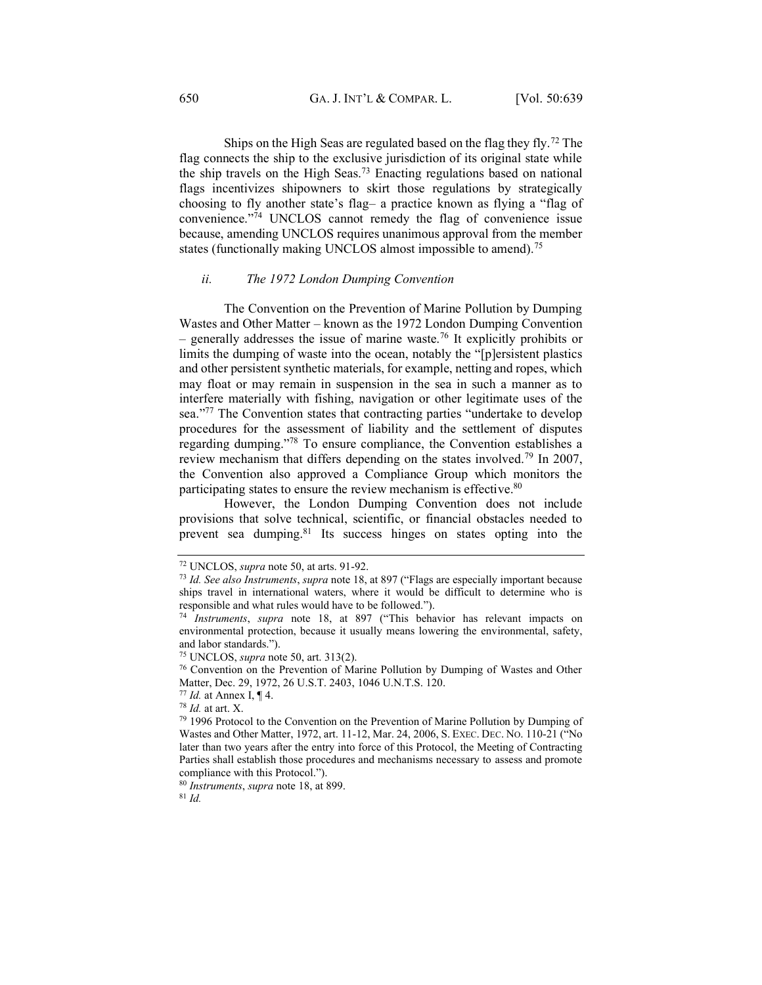Ships on the High Seas are regulated based on the flag they fly.72 The flag connects the ship to the exclusive jurisdiction of its original state while the ship travels on the High Seas.73 Enacting regulations based on national flags incentivizes shipowners to skirt those regulations by strategically choosing to fly another state's flag- a practice known as flying a "flag of convenience."74 UNCLOS cannot remedy the flag of convenience issue because, amending UNCLOS requires unanimous approval from the member states (functionally making UNCLOS almost impossible to amend).<sup>75</sup>

#### <span id="page-11-0"></span>*ii. The 1972 London Dumping Convention*

The Convention on the Prevention of Marine Pollution by Dumping Wastes and Other Matter – known as the 1972 London Dumping Convention  $-$  generally addresses the issue of marine waste.<sup>76</sup> It explicitly prohibits or limits the dumping of waste into the ocean, notably the "[p]ersistent plastics and other persistent synthetic materials, for example, netting and ropes, which may float or may remain in suspension in the sea in such a manner as to interfere materially with fishing, navigation or other legitimate uses of the sea.<sup>"77</sup> The Convention states that contracting parties "undertake to develop procedures for the assessment of liability and the settlement of disputes regarding dumping.<sup>778</sup> To ensure compliance, the Convention establishes a review mechanism that differs depending on the states involved.79 In 2007, the Convention also approved a Compliance Group which monitors the participating states to ensure the review mechanism is effective.<sup>80</sup>

However, the London Dumping Convention does not include provisions that solve technical, scientific, or financial obstacles needed to prevent sea dumping.<sup>81</sup> Its success hinges on states opting into the

<sup>80</sup> *Instruments*, *supra* note 18, at 899. 81 *Id.*

<sup>72</sup> UNCLOS, *supra* note 50, at arts. 91-92.

<sup>&</sup>lt;sup>73</sup> Id. See also Instruments, *supra* note 18, at 897 ("Flags are especially important because ships travel in international waters, where it would be difficult to determine who is responsible and what rules would have to be followed.´).

<sup>&</sup>lt;sup>74</sup> *Instruments*, *supra* note 18, at 897 ("This behavior has relevant impacts on environmental protection, because it usually means lowering the environmental, safety, and labor standards.´).

<sup>&</sup>lt;sup>75</sup> UNCLOS, *supra* note 50, art. 313(2).<br><sup>76</sup> Convention on the Prevention of Marine Pollution by Dumping of Wastes and Other Matter, Dec. 29, 1972, 26 U.S.T. 2403, 1046 U.N.T.S. 120.

<sup>77</sup> *Id.* at Annex I, ¶ 4.

<sup>&</sup>lt;sup>79</sup> 1996 Protocol to the Convention on the Prevention of Marine Pollution by Dumping of Wastes and Other Matter, 1972, art. 11-12, Mar. 24, 2006, S. EXEC. DEC. No. 110-21 ("No later than two years after the entry into force of this Protocol, the Meeting of Contracting Parties shall establish those procedures and mechanisms necessary to assess and promote compliance with this Protocol.´).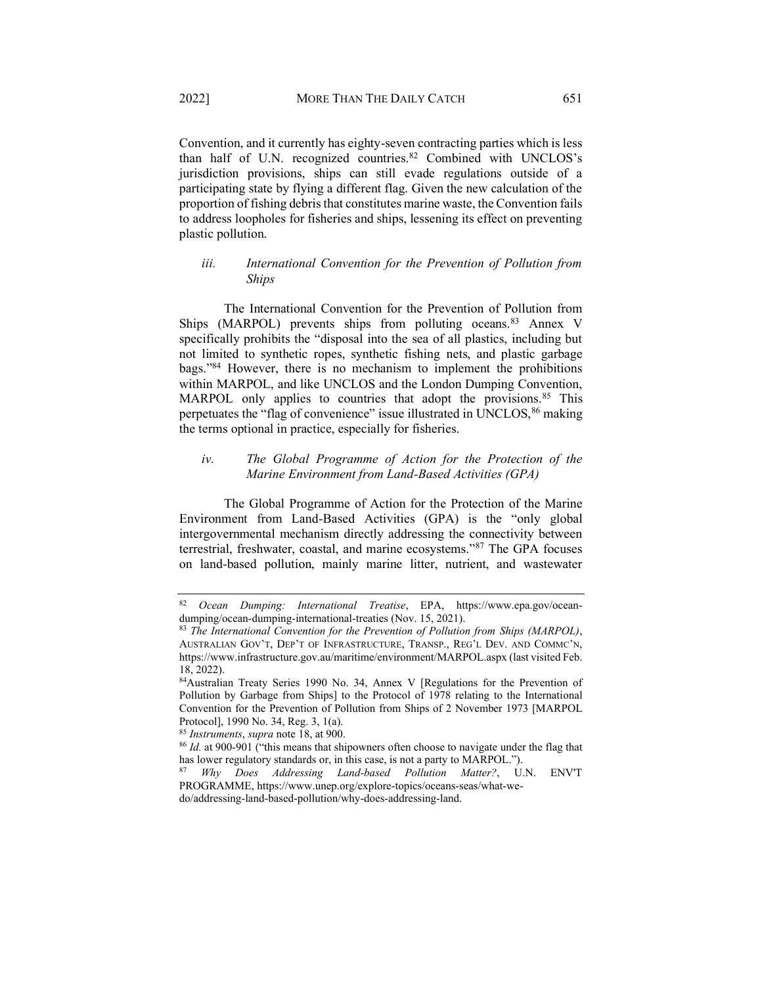Convention, and it currently has eighty-seven contracting parties which is less than half of U.N. recognized countries.<sup>82</sup> Combined with UNCLOS's jurisdiction provisions, ships can still evade regulations outside of a participating state by flying a different flag. Given the new calculation of the proportion of fishing debris that constitutes marine waste, the Convention fails to address loopholes for fisheries and ships, lessening its effect on preventing plastic pollution.

# <span id="page-12-0"></span>*iii. International Convention for the Prevention of Pollution from Ships*

The International Convention for the Prevention of Pollution from Ships (MARPOL) prevents ships from polluting oceans.<sup>83</sup> Annex V specifically prohibits the "disposal into the sea of all plastics, including but not limited to synthetic ropes, synthetic fishing nets, and plastic garbage bags."<sup>84</sup> However, there is no mechanism to implement the prohibitions within MARPOL, and like UNCLOS and the London Dumping Convention, MARPOL only applies to countries that adopt the provisions.<sup>85</sup> This perpetuates the "flag of convenience" issue illustrated in UNCLOS,  $86$  making the terms optional in practice, especially for fisheries.

# <span id="page-12-1"></span>*iv. The Global Programme of Action for the Protection of the Marine Environment from Land-Based Activities (GPA)*

The Global Programme of Action for the Protection of the Marine Environment from Land-Based Activities (GPA) is the "only global intergovernmental mechanism directly addressing the connectivity between terrestrial, freshwater, coastal, and marine ecosystems.<sup>387</sup> The GPA focuses on land-based pollution, mainly marine litter, nutrient, and wastewater

<sup>82</sup> *Ocean Dumping: International Treatise*, EPA, https://www.epa.gov/oceandumping/ocean-dumping-international-treaties (Nov. 15, 2021).<br><sup>83</sup> *The International Convention for the Prevention of Pollution from Ships (MARPOL)*,

AUSTRALIAN GOV'T, DEP'T OF INFRASTRUCTURE, TRANSP., REG'L DEV. AND COMMC'N, https://www.infrastructure.gov.au/maritime/environment/MARPOL.aspx (last visited Feb. 18, 2022).

<sup>84</sup>Australian Treaty Series 1990 No. 34, Annex V [Regulations for the Prevention of Pollution by Garbage from Ships] to the Protocol of 1978 relating to the International Convention for the Prevention of Pollution from Ships of 2 November 1973 [MARPOL Protocol], 1990 No. 34, Reg. 3, 1(a).

<sup>85</sup> *Instruments*, *supra* note 18, at 900.

<sup>&</sup>lt;sup>86</sup> *Id.* at 900-901 ("this means that shipowners often choose to navigate under the flag that has lower regulatory standards or, in this case, is not a party to MARPOL.<sup>\*</sup>).

<sup>87</sup> *Why Does Addressing Land-based Pollution Matter?*, U.N. ENV'T PROGRAMME, https://www.unep.org/explore-topics/oceans-seas/what-wedo/addressing-land-based-pollution/why-does-addressing-land.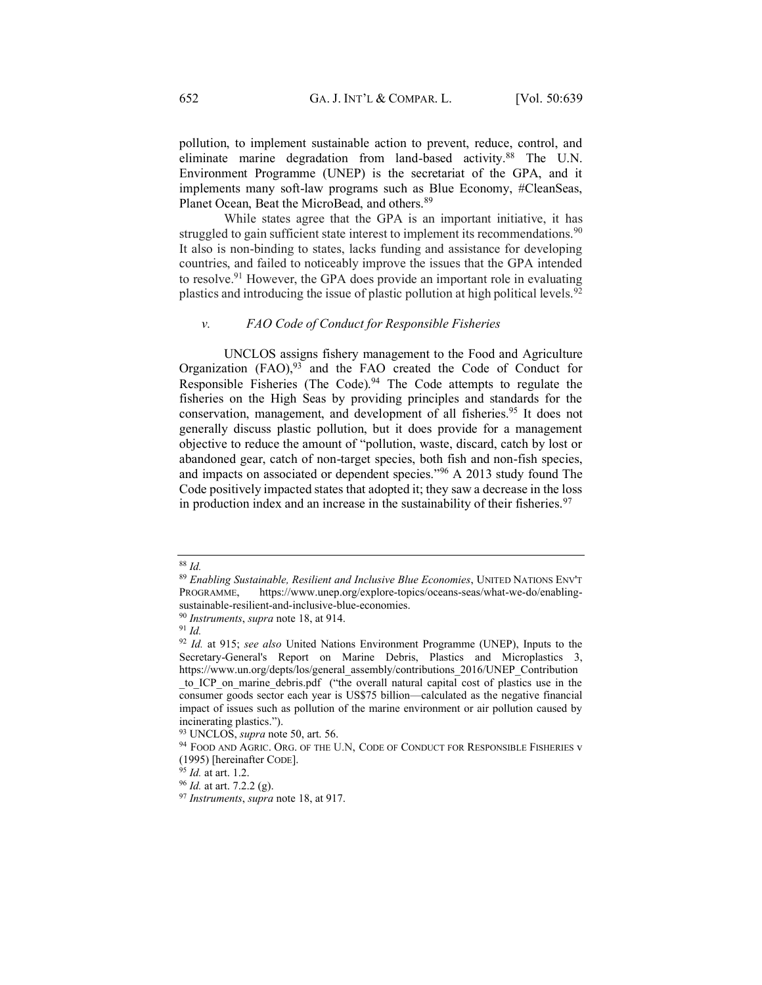pollution, to implement sustainable action to prevent, reduce, control, and eliminate marine degradation from land-based activity.<sup>88</sup> The U.N. Environment Programme (UNEP) is the secretariat of the GPA, and it implements many soft-law programs such as Blue Economy, #CleanSeas, Planet Ocean, Beat the MicroBead, and others.<sup>89</sup>

While states agree that the GPA is an important initiative, it has struggled to gain sufficient state interest to implement its recommendations.<sup>90</sup> It also is non-binding to states, lacks funding and assistance for developing countries, and failed to noticeably improve the issues that the GPA intended to resolve.91 However, the GPA does provide an important role in evaluating plastics and introducing the issue of plastic pollution at high political levels.92

#### <span id="page-13-0"></span>*v. FAO Code of Conduct for Responsible Fisheries*

UNCLOS assigns fishery management to the Food and Agriculture Organization  $(FAO)$ ,  $93$  and the FAO created the Code of Conduct for Responsible Fisheries (The Code).<sup>94</sup> The Code attempts to regulate the fisheries on the High Seas by providing principles and standards for the conservation, management, and development of all fisheries.<sup>95</sup> It does not generally discuss plastic pollution, but it does provide for a management objective to reduce the amount of "pollution, waste, discard, catch by lost or abandoned gear, catch of non-target species, both fish and non-fish species, and impacts on associated or dependent species.<sup>"96</sup> A 2013 study found The Code positively impacted states that adopted it; they saw a decrease in the loss in production index and an increase in the sustainability of their fisheries.<sup>97</sup>

<sup>88</sup> *Id.*

<sup>89</sup> *Enabling Sustainable, Resilient and Inclusive Blue Economies*, UNITED NATIONS ENV'T PROGRAMME, https://www.unep.org/explore-topics/oceans-seas/what-we-do/enablingsustainable-resilient-and-inclusive-blue-economies.

<sup>90</sup> *Instruments*, *supra* note 18, at 914. 91 *Id.*

<sup>92</sup> *Id.* at 915; *see also* United Nations Environment Programme (UNEP), Inputs to the Secretary-General's Report on Marine Debris, Plastics and Microplastics 3, https://www.un.org/depts/los/general\_assembly/contributions\_2016/UNEP\_Contribution to ICP on marine debris.pdf ("the overall natural capital cost of plastics use in the consumer goods sector each year is US\$75 billion—calculated as the negative financial impact of issues such as pollution of the marine environment or air pollution caused by incinerating plastics.").

<sup>&</sup>lt;sup>93</sup> UNCLOS, *supra* note 50, art. 56.<br><sup>94</sup> FOOD AND AGRIC. ORG. OF THE U.N, CODE OF CONDUCT FOR RESPONSIBLE FISHERIES v (1995) [hereinafter CODE].<br> $^{95}$  *Id.* at art. 1.2.

<sup>95</sup> *Id.* at art. 1.2. 96 *Id.* at art. 7.2.2 (g). 97 *Instruments*, *supra* note 18, at 917.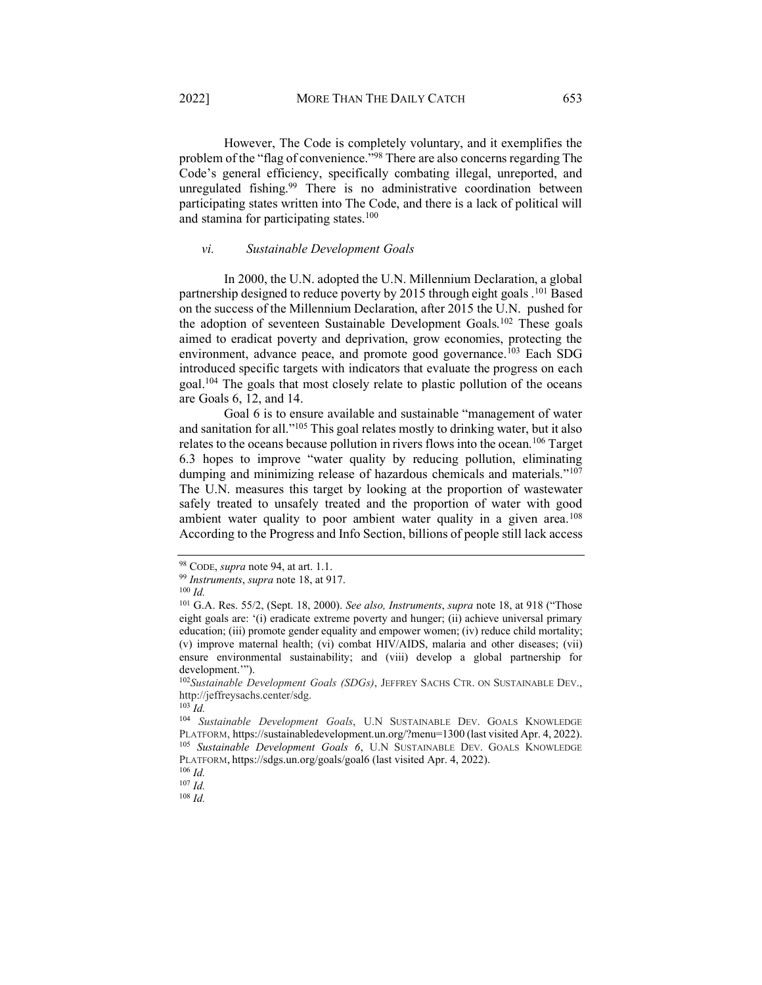However, The Code is completely voluntary, and it exemplifies the problem of the "flag of convenience.<sup>"98</sup> There are also concerns regarding The Code's general efficiency, specifically combating illegal, unreported, and unregulated fishing.<sup>99</sup> There is no administrative coordination between participating states written into The Code, and there is a lack of political will and stamina for participating states.<sup>100</sup>

#### <span id="page-14-0"></span>*vi. Sustainable Development Goals*

In 2000, the U.N. adopted the U.N. Millennium Declaration, a global partnership designed to reduce poverty by 2015 through eight goals .<sup>101</sup> Based on the success of the Millennium Declaration, after 2015 the U.N. pushed for the adoption of seventeen Sustainable Development Goals.102 These goals aimed to eradicat poverty and deprivation, grow economies, protecting the environment, advance peace, and promote good governance.<sup>103</sup> Each SDG introduced specific targets with indicators that evaluate the progress on each goal.104 The goals that most closely relate to plastic pollution of the oceans are Goals 6, 12, and 14.

Goal 6 is to ensure available and sustainable "management of water and sanitation for all.<sup>"105</sup> This goal relates mostly to drinking water, but it also relates to the oceans because pollution in rivers flows into the ocean.106 Target  $6.3$  hopes to improve "water quality by reducing pollution, eliminating dumping and minimizing release of hazardous chemicals and materials.<sup>"107</sup> The U.N. measures this target by looking at the proportion of wastewater safely treated to unsafely treated and the proportion of water with good ambient water quality to poor ambient water quality in a given area.<sup>108</sup> According to the Progress and Info Section, billions of people still lack access

<sup>103</sup> *Id.* 

<sup>98</sup> CODE, *supra* note 94, at art. 1.1. 99 *Instruments*, *supra* note 18, at 917. 100 *Id.*

<sup>&</sup>lt;sup>101</sup> G.A. Res. 55/2, (Sept. 18, 2000). *See also, Instruments, supra* note 18, at 918 ("Those eight goals are: '(i) eradicate extreme poverty and hunger; (ii) achieve universal primary education; (iii) promote gender equality and empower women; (iv) reduce child mortality; (v) improve maternal health; (vi) combat HIV/AIDS, malaria and other diseases; (vii) ensure environmental sustainability; and (viii) develop a global partnership for development."").

<sup>102</sup>*Sustainable Development Goals (SDGs)*, JEFFREY SACHS CTR. ON SUSTAINABLE DEV., http://jeffreysachs.center/sdg.

<sup>104</sup> *Sustainable Development Goals*, U.N SUSTAINABLE DEV. GOALS KNOWLEDGE PLATFORM, https://sustainabledevelopment.un.org/?menu=1300 (last visited Apr. 4, 2022). 105 *Sustainable Development Goals 6*, U.N SUSTAINABLE DEV. GOALS KNOWLEDGE PLATFORM, https://sdgs.un.org/goals/goal6 (last visited Apr. 4, 2022). 106 *Id.* 

<sup>107</sup> *Id.*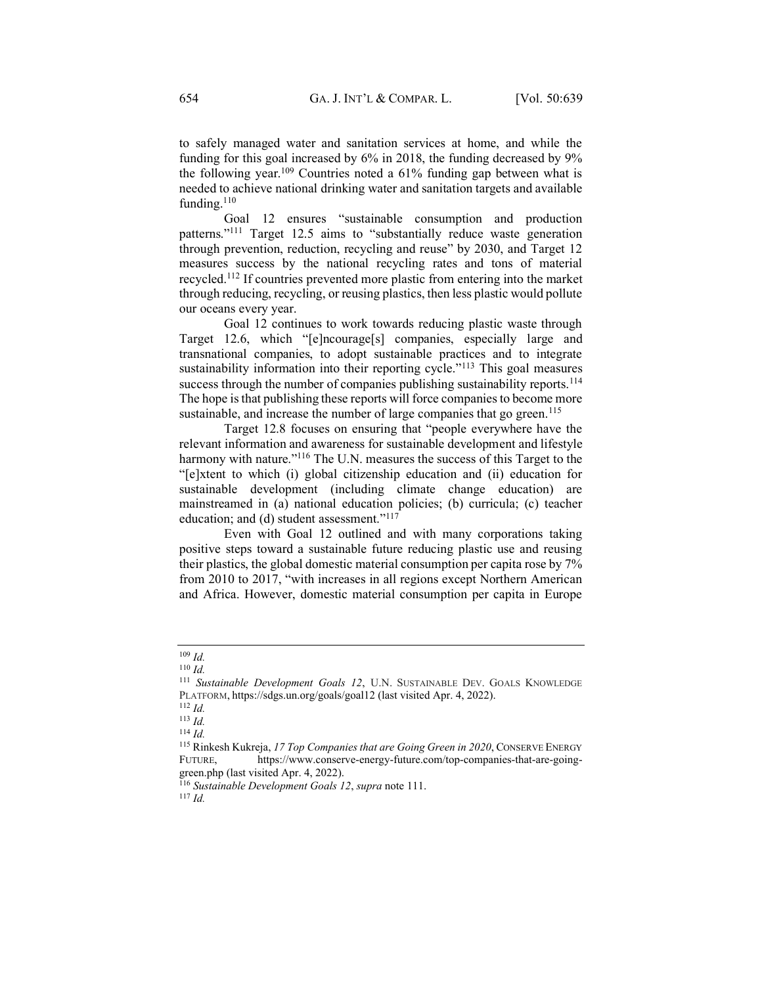to safely managed water and sanitation services at home, and while the funding for this goal increased by 6% in 2018, the funding decreased by 9% the following year.109 Countries noted a 61% funding gap between what is needed to achieve national drinking water and sanitation targets and available funding.<sup>110</sup>

Goal 12 ensures "sustainable consumption and production patterns. $111$  Target 12.5 aims to "substantially reduce waste generation through prevention, reduction, recycling and reuse" by  $2030$ , and Target 12 measures success by the national recycling rates and tons of material recycled.112 If countries prevented more plastic from entering into the market through reducing, recycling, or reusing plastics, then less plastic would pollute our oceans every year.

Goal 12 continues to work towards reducing plastic waste through Target 12.6, which "[e]ncourage[s] companies, especially large and transnational companies, to adopt sustainable practices and to integrate sustainability information into their reporting cycle.<sup> $113$ </sup> This goal measures success through the number of companies publishing sustainability reports.<sup>114</sup> The hope is that publishing these reports will force companies to become more sustainable, and increase the number of large companies that go green.<sup>115</sup>

Target 12.8 focuses on ensuring that "people everywhere have the relevant information and awareness for sustainable development and lifestyle harmony with nature.<sup>"116</sup> The U.N. measures the success of this Target to the "[e]xtent to which (i) global citizenship education and (ii) education for sustainable development (including climate change education) are mainstreamed in (a) national education policies; (b) curricula; (c) teacher education; and (d) student assessment." $117$ <sup>7</sup>

Even with Goal 12 outlined and with many corporations taking positive steps toward a sustainable future reducing plastic use and reusing their plastics, the global domestic material consumption per capita rose by 7% from 2010 to 2017, "with increases in all regions except Northern American and Africa. However, domestic material consumption per capita in Europe

<sup>109</sup> *Id.*

<sup>110</sup> *Id.*

<sup>111</sup> *Sustainable Development Goals 12*, U.N. SUSTAINABLE DEV. GOALS KNOWLEDGE PLATFORM, https://sdgs.un.org/goals/goal12 (last visited Apr. 4, 2022). 112 *Id.*

<sup>113</sup> *Id.*

<sup>114</sup> *Id.*

<sup>115</sup> Rinkesh Kukreja, *17 Top Companies that are Going Green in 2020*, CONSERVE ENERGY FUTURE, https://www.conserve-energy-future.com/top-companies-that-are-goinggreen.php (last visited Apr. 4, 2022).

<sup>116</sup> *Sustainable Development Goals 12*, *supra* note 111. 117 *Id.*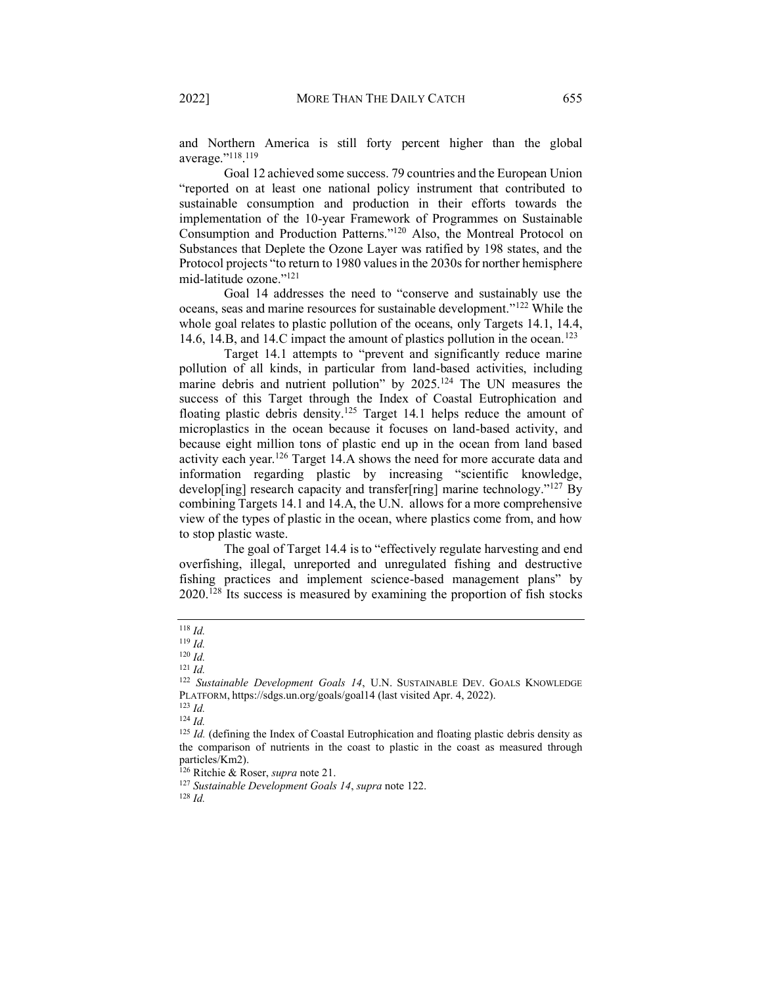and Northern America is still forty percent higher than the global average."<sup>118</sup>.<sup>119</sup>

Goal 12 achieved some success. 79 countries and the European Union ³reported on at least one national polic\ instrument that contributed to sustainable consumption and production in their efforts towards the implementation of the 10-year Framework of Programmes on Sustainable Consumption and Production Patterns."<sup>120</sup> Also, the Montreal Protocol on Substances that Deplete the Ozone Layer was ratified by 198 states, and the Protocol projects "to return to 1980 values in the 2030s for norther hemisphere mid-latitude ozone."<sup>121</sup>

Goal 14 addresses the need to "conserve and sustainably use the oceans, seas and marine resources for sustainable development."<sup>122</sup> While the whole goal relates to plastic pollution of the oceans, only Targets 14.1, 14.4, 14.6, 14.B, and 14.C impact the amount of plastics pollution in the ocean.<sup>123</sup>

Target 14.1 attempts to "prevent and significantly reduce marine pollution of all kinds, in particular from land-based activities, including marine debris and nutrient pollution" by 2025.<sup>124</sup> The UN measures the success of this Target through the Index of Coastal Eutrophication and floating plastic debris density.125 Target 14.1 helps reduce the amount of microplastics in the ocean because it focuses on land-based activity, and because eight million tons of plastic end up in the ocean from land based activity each year.126 Target 14.A shows the need for more accurate data and information regarding plastic by increasing "scientific knowledge, develop[ing] research capacity and transfer[ring] marine technology.<sup> $127$ </sup> By combining Targets 14.1 and 14.A, the U.N. allows for a more comprehensive view of the types of plastic in the ocean, where plastics come from, and how to stop plastic waste.

The goal of Target 14.4 is to "effectively regulate harvesting and end overfishing, illegal, unreported and unregulated fishing and destructive fishing practices and implement science-based management plans" by 2020.128 Its success is measured by examining the proportion of fish stocks

<sup>118</sup> *Id.*

<sup>119</sup> *Id.*

<sup>120</sup> *Id.*

<sup>121</sup> *Id.*

<sup>122</sup> *Sustainable Development Goals 14*, U.N. SUSTAINABLE DEV. GOALS KNOWLEDGE PLATFORM, https://sdgs.un.org/goals/goal14 (last visited Apr. 4, 2022).

<sup>123</sup> *Id.*

<sup>124</sup> *Id.*

<sup>&</sup>lt;sup>125</sup> *Id.* (defining the Index of Coastal Eutrophication and floating plastic debris density as the comparison of nutrients in the coast to plastic in the coast as measured through particles/Km2).

<sup>126</sup> Ritchie & Roser, *supra* note 21.

<sup>127</sup> *Sustainable Development Goals 14*, *supra* note 122.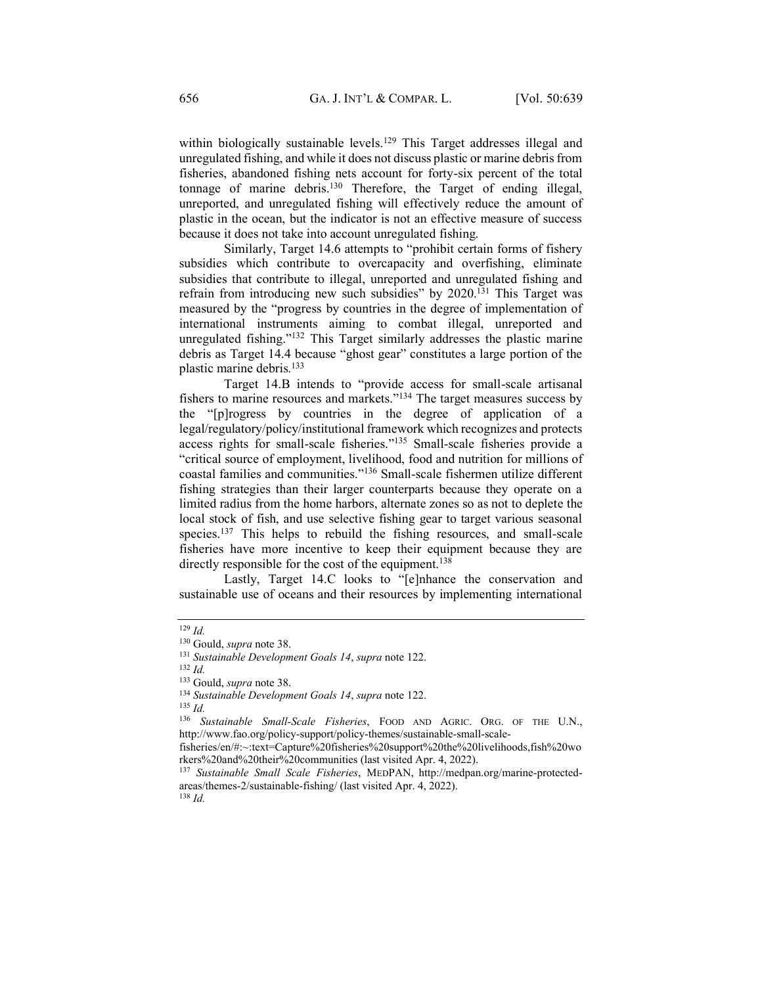within biologically sustainable levels.<sup>129</sup> This Target addresses illegal and unregulated fishing, and while it does not discuss plastic or marine debris from fisheries, abandoned fishing nets account for forty-six percent of the total tonnage of marine debris.130 Therefore, the Target of ending illegal, unreported, and unregulated fishing will effectively reduce the amount of plastic in the ocean, but the indicator is not an effective measure of success because it does not take into account unregulated fishing.

Similarly, Target 14.6 attempts to "prohibit certain forms of fishery subsidies which contribute to overcapacity and overfishing, eliminate subsidies that contribute to illegal, unreported and unregulated fishing and refrain from introducing new such subsidies" by  $2020$ .<sup>131</sup> This Target was measured by the "progress by countries in the degree of implementation of international instruments aiming to combat illegal, unreported and unregulated fishing."<sup>132</sup> This Target similarly addresses the plastic marine debris as Target 14.4 because "ghost gear" constitutes a large portion of the plastic marine debris.<sup>133</sup>

Target 14.B intends to "provide access for small-scale artisanal fishers to marine resources and markets. $134$  The target measures success by the "[p]rogress by countries in the degree of application of a legal/regulatory/policy/institutional framework which recognizes and protects access rights for small-scale fisheries.<sup>"135</sup> Small-scale fisheries provide a "critical source of employment, livelihood, food and nutrition for millions of coastal families and communities."<sup>136</sup> Small-scale fishermen utilize different fishing strategies than their larger counterparts because they operate on a limited radius from the home harbors, alternate zones so as not to deplete the local stock of fish, and use selective fishing gear to target various seasonal species.<sup>137</sup> This helps to rebuild the fishing resources, and small-scale fisheries have more incentive to keep their equipment because they are directly responsible for the cost of the equipment.<sup>138</sup>

Lastly, Target 14.C looks to "[e]nhance the conservation and sustainable use of oceans and their resources by implementing international

<sup>129</sup> *Id.*

<sup>&</sup>lt;sup>130</sup> Gould, *supra* note 38.<br><sup>131</sup> *Sustainable Development Goals 14*, *supra* note 122.

<sup>&</sup>lt;sup>132</sup> *Id.* **133** Gould, *supra* note 38.

<sup>&</sup>lt;sup>134</sup> Sustainable Development Goals 14, *supra* note 122.

<sup>136</sup> *Sustainable Small-Scale Fisheries*, FOOD AND AGRIC. ORG. OF THE U.N., http://www.fao.org/policy-support/policy-themes/sustainable-small-scale-

fisheries/en/#:~:text=Capture%20fisheries%20support%20the%20livelihoods,fish%20wo rkers%20and%20their%20communities (last visited Apr. 4, 2022).

<sup>137</sup> *Sustainable Small Scale Fisheries*, MEDPAN, http://medpan.org/marine-protectedareas/themes-2/sustainable-fishing/ (last visited Apr. 4, 2022). 138 *Id.*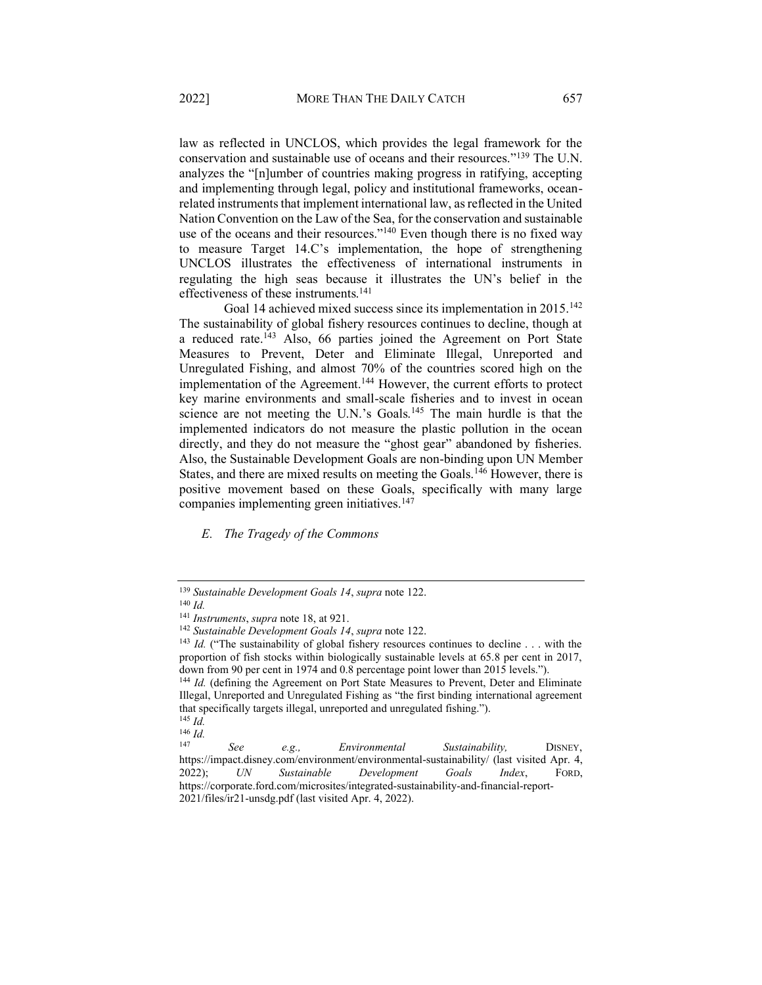law as reflected in UNCLOS, which provides the legal framework for the conservation and sustainable use of oceans and their resources."<sup>139</sup> The U.N. analyzes the "[n]umber of countries making progress in ratifying, accepting and implementing through legal, policy and institutional frameworks, oceanrelated instruments that implement international law, as reflected in the United Nation Convention on the Law of the Sea, for the conservation and sustainable use of the oceans and their resources."<sup>140</sup> Even though there is no fixed way to measure Target 14.C's implementation, the hope of strengthening UNCLOS illustrates the effectiveness of international instruments in regulating the high seas because it illustrates the UN's belief in the effectiveness of these instruments.141

Goal 14 achieved mixed success since its implementation in 2015.<sup>142</sup> The sustainability of global fishery resources continues to decline, though at a reduced rate.143 Also, 66 parties joined the Agreement on Port State Measures to Prevent, Deter and Eliminate Illegal, Unreported and Unregulated Fishing, and almost 70% of the countries scored high on the implementation of the Agreement.144 However, the current efforts to protect key marine environments and small-scale fisheries and to invest in ocean science are not meeting the U.N.'s Goals.<sup>145</sup> The main hurdle is that the implemented indicators do not measure the plastic pollution in the ocean directly, and they do not measure the "ghost gear" abandoned by fisheries. Also, the Sustainable Development Goals are non-binding upon UN Member States, and there are mixed results on meeting the Goals.<sup>146</sup> However, there is positive movement based on these Goals, specifically with many large companies implementing green initiatives.147

<span id="page-18-0"></span>*E. The Tragedy of the Commons*

<sup>139</sup> *Sustainable Development Goals 14*, *supra* note 122.

<sup>&</sup>lt;sup>140</sup> *Id. Instruments, supra* note 18, at 921.

<sup>&</sup>lt;sup>142</sup> Sustainable Development Goals 14, supra note 122.

<sup>&</sup>lt;sup>143</sup> *Id.* ("The sustainability of global fishery resources continues to decline . . . with the proportion of fish stocks within biologically sustainable levels at 65.8 per cent in 2017, down from 90 per cent in 1974 and 0.8 percentage point lower than 2015 levels.´).

<sup>144</sup> *Id.* (defining the Agreement on Port State Measures to Prevent, Deter and Eliminate Illegal, Unreported and Unregulated Fishing as "the first binding international agreement that specifically targets illegal, unreported and unregulated fishing."). <sup>145</sup> *Id.*

<sup>147</sup> *See e.g., Environmental Sustainability,* DISNEY, https://impact.disney.com/environment/environmental-sustainability/ (last visited Apr. 4, 2022); *UN Sustainable Development Goals Index*, FORD, https://corporate.ford.com/microsites/integrated-sustainability-and-financial-report-2021/files/ir21-unsdg.pdf (last visited Apr. 4, 2022).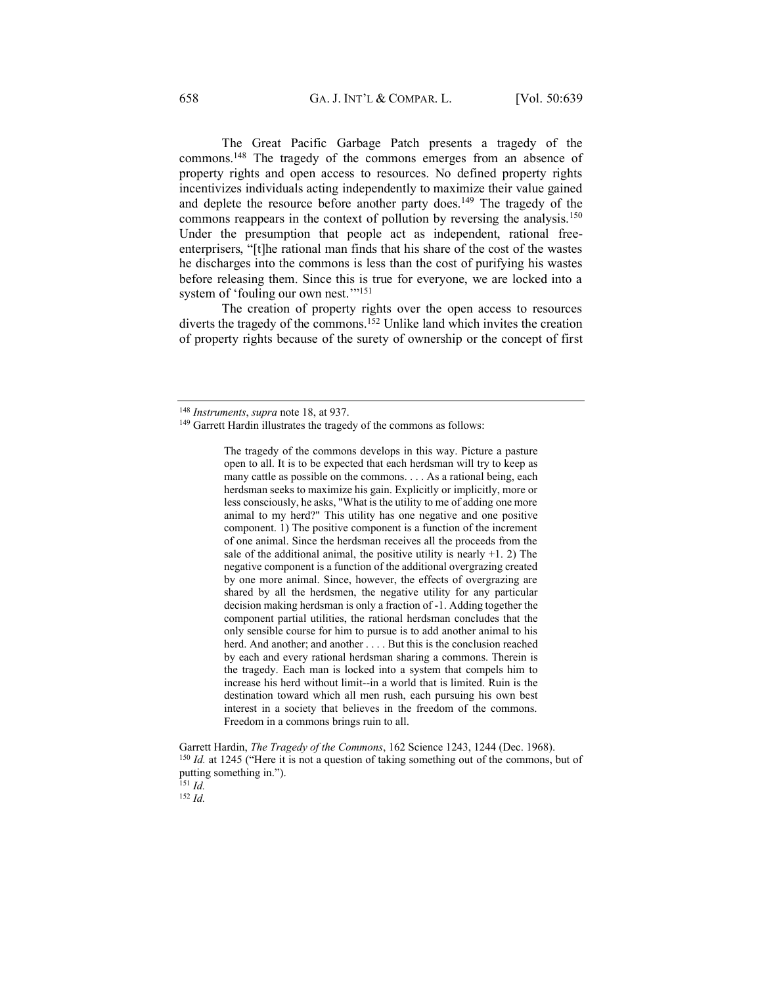The Great Pacific Garbage Patch presents a tragedy of the commons.148 The tragedy of the commons emerges from an absence of property rights and open access to resources. No defined property rights incentivizes individuals acting independently to maximize their value gained and deplete the resource before another party does.<sup>149</sup> The tragedy of the commons reappears in the context of pollution by reversing the analysis.<sup>150</sup> Under the presumption that people act as independent, rational freeenterprisers, "[t]he rational man finds that his share of the cost of the wastes he discharges into the commons is less than the cost of purifying his wastes before releasing them. Since this is true for everyone, we are locked into a system of 'fouling our own nest."<sup>151</sup>

 The creation of property rights over the open access to resources diverts the tragedy of the commons.<sup>152</sup> Unlike land which invites the creation of property rights because of the surety of ownership or the concept of first

The tragedy of the commons develops in this way. Picture a pasture open to all. It is to be expected that each herdsman will try to keep as many cattle as possible on the commons. . . . As a rational being, each herdsman seeks to maximize his gain. Explicitly or implicitly, more or less consciously, he asks, "What is the utility to me of adding one more animal to my herd?" This utility has one negative and one positive component. 1) The positive component is a function of the increment of one animal. Since the herdsman receives all the proceeds from the sale of the additional animal, the positive utility is nearly  $+1$ . 2) The negative component is a function of the additional overgrazing created by one more animal. Since, however, the effects of overgrazing are shared by all the herdsmen, the negative utility for any particular decision making herdsman is only a fraction of -1. Adding together the component partial utilities, the rational herdsman concludes that the only sensible course for him to pursue is to add another animal to his herd. And another; and another . . . . But this is the conclusion reached by each and every rational herdsman sharing a commons. Therein is the tragedy. Each man is locked into a system that compels him to increase his herd without limit--in a world that is limited. Ruin is the destination toward which all men rush, each pursuing his own best interest in a society that believes in the freedom of the commons. Freedom in a commons brings ruin to all.

Garrett Hardin, *The Tragedy of the Commons*, 162 Science 1243, 1244 (Dec. 1968). <sup>150</sup> *Id.* at 1245 ("Here it is not a question of taking something out of the commons, but of putting something in."). <sup>151</sup> *Id.*

<sup>148</sup> *Instruments*, *supra* note 18, at 937.

<sup>&</sup>lt;sup>149</sup> Garrett Hardin illustrates the tragedy of the commons as follows: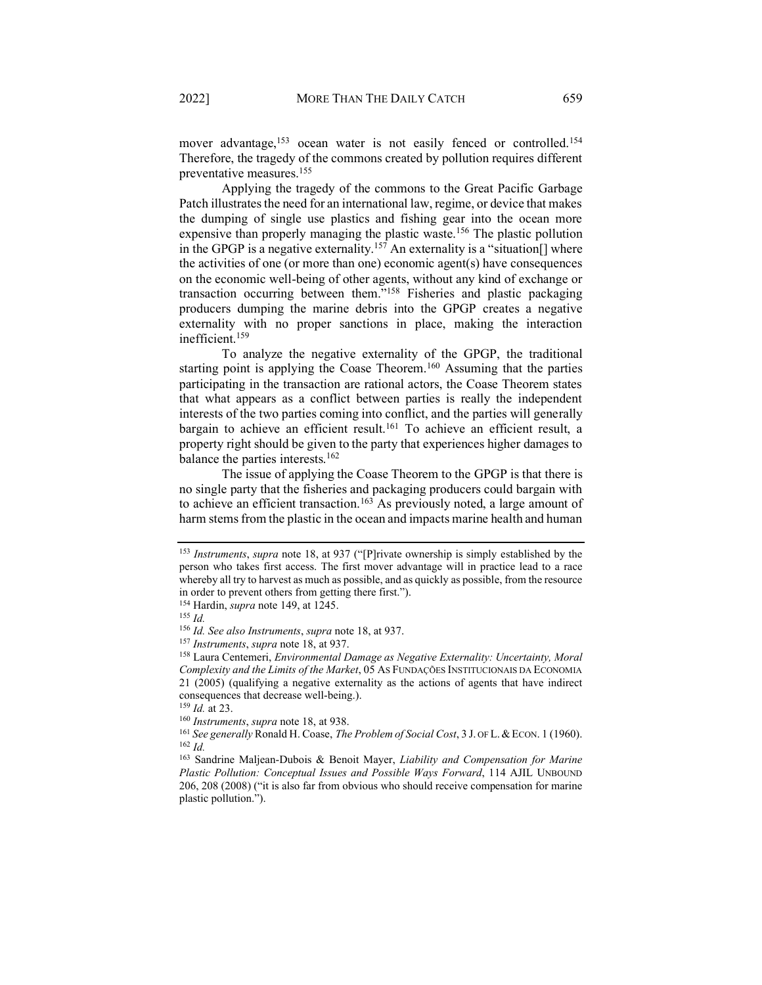mover advantage,<sup>153</sup> ocean water is not easily fenced or controlled.<sup>154</sup> Therefore, the tragedy of the commons created by pollution requires different preventative measures.155

 Applying the tragedy of the commons to the Great Pacific Garbage Patch illustrates the need for an international law, regime, or device that makes the dumping of single use plastics and fishing gear into the ocean more expensive than properly managing the plastic waste.<sup>156</sup> The plastic pollution in the GPGP is a negative externality.<sup>157</sup> An externality is a "situation[] where the activities of one (or more than one) economic agent(s) have consequences on the economic well-being of other agents, without any kind of exchange or transaction occurring between them."<sup>158</sup> Fisheries and plastic packaging producers dumping the marine debris into the GPGP creates a negative externality with no proper sanctions in place, making the interaction inefficient.<sup>159</sup>

 To analyze the negative externality of the GPGP, the traditional starting point is applying the Coase Theorem.<sup>160</sup> Assuming that the parties participating in the transaction are rational actors, the Coase Theorem states that what appears as a conflict between parties is really the independent interests of the two parties coming into conflict, and the parties will generally bargain to achieve an efficient result.<sup>161</sup> To achieve an efficient result, a property right should be given to the party that experiences higher damages to balance the parties interests.162

 The issue of applying the Coase Theorem to the GPGP is that there is no single party that the fisheries and packaging producers could bargain with to achieve an efficient transaction.<sup>163</sup> As previously noted, a large amount of harm stems from the plastic in the ocean and impacts marine health and human

<sup>&</sup>lt;sup>153</sup> *Instruments*, *supra* note 18, at 937 ("[P]rivate ownership is simply established by the person who takes first access. The first mover advantage will in practice lead to a race whereby all try to harvest as much as possible, and as quickly as possible, from the resource in order to prevent others from getting there first.´).

<sup>154</sup> Hardin, *supra* note 149, at 1245. 155 *Id.* 

<sup>156</sup> *Id. See also Instruments*, *supra* note 18, at 937.

<sup>157</sup> *Instruments*, *supra* note 18, at 937.

<sup>158</sup> Laura Centemeri, *Environmental Damage as Negative Externality: Uncertainty, Moral Complexity and the Limits of the Market*, 05 AS FUNDAÇÕES INSTITUCIONAIS DA ECONOMIA 21 (2005) (qualifying a negative externality as the actions of agents that have indirect consequences that decrease well-being.).

<sup>159</sup> *Id.* at 23. 160 *Instruments*, *supra* note 18, at 938.

<sup>161</sup> *See generally* Ronald H. Coase, *The Problem of Social Cost*, 3 J. OF L.&ECON. 1 (1960). <sup>162</sup> *Id.* 

<sup>163</sup> Sandrine Maljean-Dubois & Benoit Mayer, *Liability and Compensation for Marine Plastic Pollution: Conceptual Issues and Possible Ways Forward*, 114 AJIL UNBOUND 206, 208 (2008) ("it is also far from obvious who should receive compensation for marine plastic pollution.´).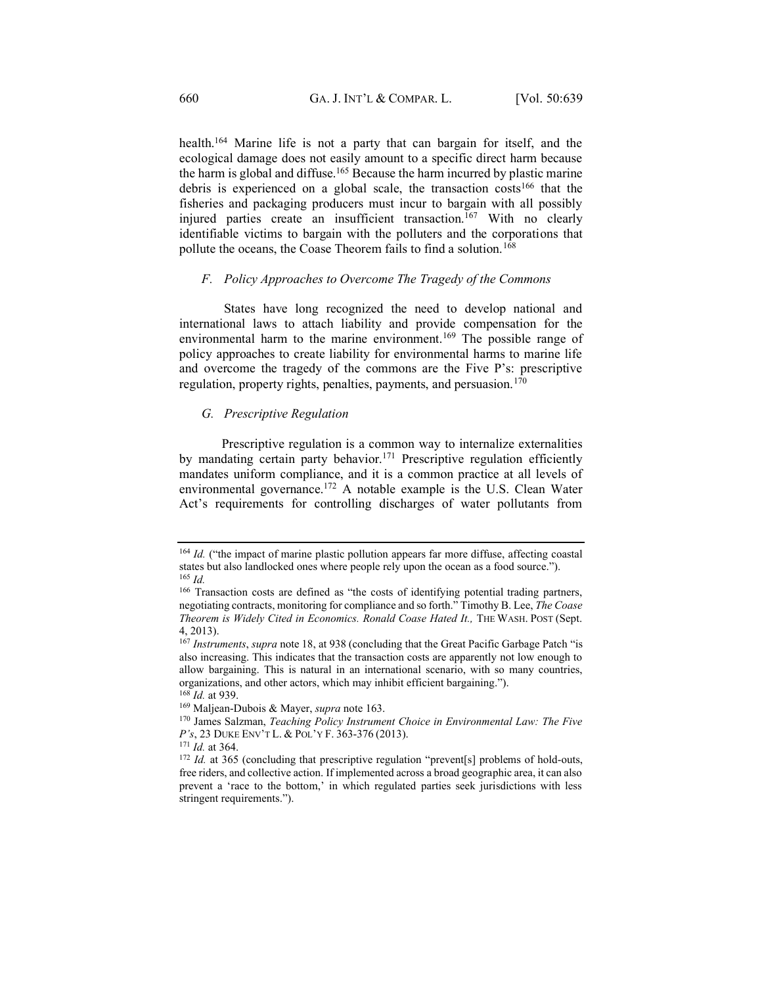health.164 Marine life is not a party that can bargain for itself, and the ecological damage does not easily amount to a specific direct harm because the harm is global and diffuse.165 Because the harm incurred by plastic marine debris is experienced on a global scale, the transaction costs<sup>166</sup> that the fisheries and packaging producers must incur to bargain with all possibly injured parties create an insufficient transaction.<sup>167</sup> With no clearly identifiable victims to bargain with the polluters and the corporations that pollute the oceans, the Coase Theorem fails to find a solution.<sup>168</sup>

#### <span id="page-21-0"></span>*F. Policy Approaches to Overcome The Tragedy of the Commons*

States have long recognized the need to develop national and international laws to attach liability and provide compensation for the environmental harm to the marine environment.<sup>169</sup> The possible range of policy approaches to create liability for environmental harms to marine life and overcome the tragedy of the commons are the Five P's: prescriptive regulation, property rights, penalties, payments, and persuasion.<sup>170</sup>

#### <span id="page-21-1"></span>*G. Prescriptive Regulation*

 Prescriptive regulation is a common way to internalize externalities by mandating certain party behavior.<sup>171</sup> Prescriptive regulation efficiently mandates uniform compliance, and it is a common practice at all levels of environmental governance.<sup>172</sup> A notable example is the U.S. Clean Water Act's requirements for controlling discharges of water pollutants from

<sup>&</sup>lt;sup>164</sup> *Id.* ("the impact of marine plastic pollution appears far more diffuse, affecting coastal states but also landlocked ones where people rely upon the ocean as a food source."). <sup>165</sup> *Id.*

<sup>&</sup>lt;sup>166</sup> Transaction costs are defined as "the costs of identifying potential trading partners, negotiating contracts, monitoring for compliance and so forth." Timothy B. Lee, *The Coase Theorem is Widely Cited in Economics. Ronald Coase Hated It.,* THE WASH. POST (Sept. 4, 2013).

<sup>&</sup>lt;sup>167</sup> *Instruments*, *supra* note 18, at 938 (concluding that the Great Pacific Garbage Patch "is also increasing. This indicates that the transaction costs are apparently not low enough to allow bargaining. This is natural in an international scenario, with so many countries, organizations, and other actors, which may inhibit efficient bargaining.´). <sup>168</sup> *Id.* at 939.

<sup>169</sup> Maljean-Dubois & Mayer, *supra* note 163.

<sup>170</sup> James Salzman, *Teaching Policy Instrument Choice in Environmental Law: The Five P*'s, 23 DUKE ENV'T L. & POL'Y F. 363-376 (2013).<br><sup>171</sup> Id. at 364.

<sup>&</sup>lt;sup>172</sup> *Id.* at 365 (concluding that prescriptive regulation "prevent[s] problems of hold-outs, free riders, and collective action. If implemented across a broad geographic area, it can also prevent a 'race to the bottom,' in which regulated parties seek jurisdictions with less stringent requirements.").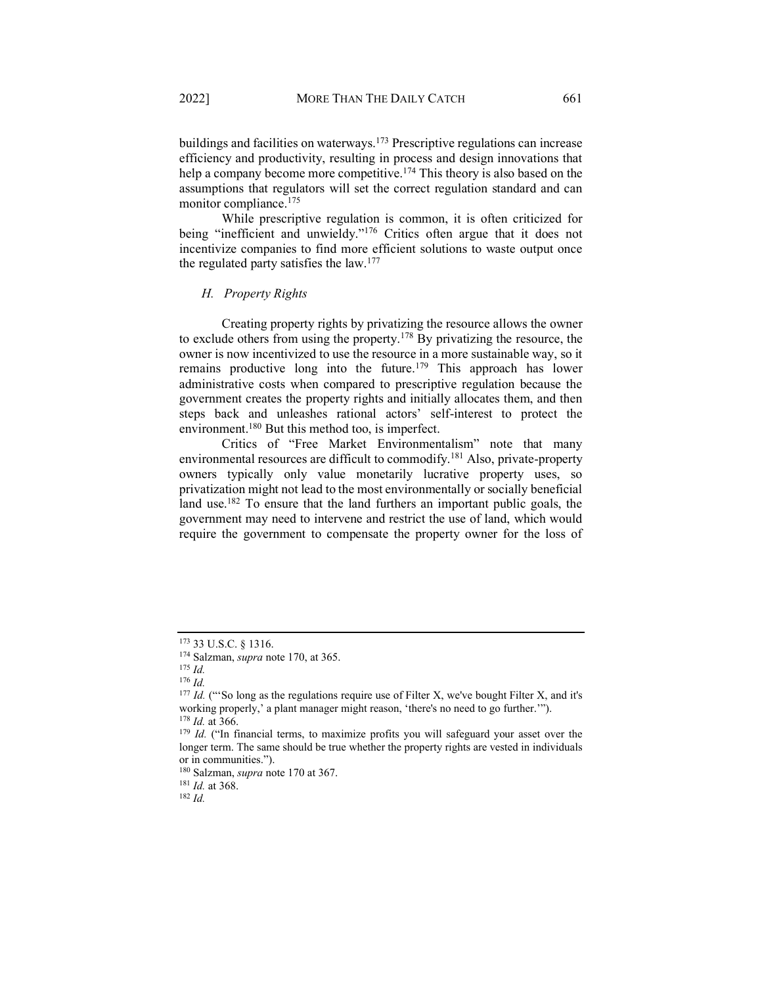buildings and facilities on waterways.<sup>173</sup> Prescriptive regulations can increase efficiency and productivity, resulting in process and design innovations that help a company become more competitive.<sup>174</sup> This theory is also based on the assumptions that regulators will set the correct regulation standard and can monitor compliance.<sup>175</sup>

 While prescriptive regulation is common, it is often criticized for being "inefficient and unwieldy. $176$  Critics often argue that it does not incentivize companies to find more efficient solutions to waste output once the regulated party satisfies the law.177

# <span id="page-22-0"></span>*H. Property Rights*

 Creating property rights by privatizing the resource allows the owner to exclude others from using the property.178 By privatizing the resource, the owner is now incentivized to use the resource in a more sustainable way, so it remains productive long into the future.<sup>179</sup> This approach has lower administrative costs when compared to prescriptive regulation because the government creates the property rights and initially allocates them, and then steps back and unleashes rational actors' self-interest to protect the environment.<sup>180</sup> But this method too, is imperfect.

Critics of "Free Market Environmentalism" note that many environmental resources are difficult to commodify.<sup>181</sup> Also, private-property owners typically only value monetarily lucrative property uses, so privatization might not lead to the most environmentally or socially beneficial land use.<sup>182</sup> To ensure that the land furthers an important public goals, the government may need to intervene and restrict the use of land, which would require the government to compensate the property owner for the loss of

<sup>173</sup> 33 U.S.C. § 1316.

<sup>174</sup> Salzman, *supra* note 170, at 365.

<sup>175</sup> *Id.*

<sup>176</sup> *Id.* 

<sup>&</sup>lt;sup>177</sup> *Id.* ("So long as the regulations require use of Filter X, we've bought Filter X, and it's working properly,' a plant manager might reason, 'there's no need to go further."").  $^{178}$  *Id.* at 366.

<sup>&</sup>lt;sup>179</sup> *Id.* ("In financial terms, to maximize profits you will safeguard your asset over the longer term. The same should be true whether the property rights are vested in individuals or in communities.´).

<sup>180</sup> Salzman, *supra* note 170 at 367. 181 *Id.* at 368. 182 *Id.*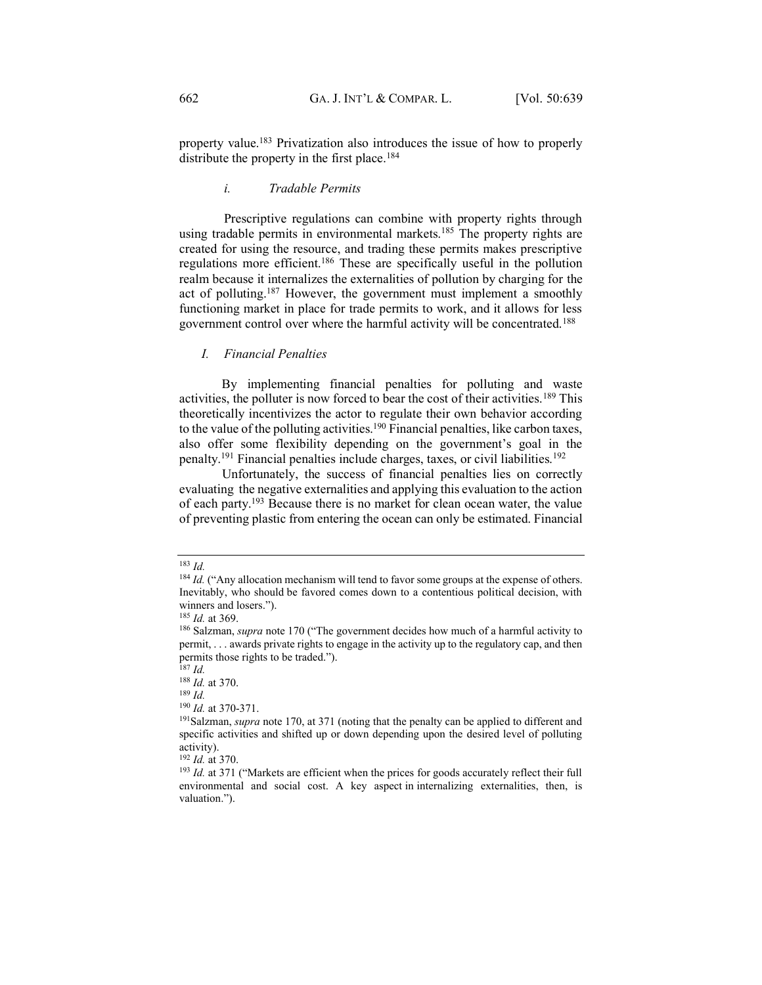property value.183 Privatization also introduces the issue of how to properly distribute the property in the first place.<sup>184</sup>

# *i. Tradable Permits*

<span id="page-23-0"></span>Prescriptive regulations can combine with property rights through using tradable permits in environmental markets.<sup>185</sup> The property rights are created for using the resource, and trading these permits makes prescriptive regulations more efficient.186 These are specifically useful in the pollution realm because it internalizes the externalities of pollution by charging for the act of polluting.187 However, the government must implement a smoothly functioning market in place for trade permits to work, and it allows for less government control over where the harmful activity will be concentrated.188

#### <span id="page-23-1"></span>*I. Financial Penalties*

 By implementing financial penalties for polluting and waste activities, the polluter is now forced to bear the cost of their activities.189 This theoretically incentivizes the actor to regulate their own behavior according to the value of the polluting activities.<sup>190</sup> Financial penalties, like carbon taxes, also offer some flexibility depending on the government's goal in the penalty.191 Financial penalties include charges, taxes, or civil liabilities.192

 Unfortunately, the success of financial penalties lies on correctly evaluating the negative externalities and applying this evaluation to the action of each party.193 Because there is no market for clean ocean water, the value of preventing plastic from entering the ocean can only be estimated. Financial

<sup>183</sup> *Id.*

<sup>&</sup>lt;sup>184</sup> *Id.* ("Any allocation mechanism will tend to favor some groups at the expense of others. Inevitably, who should be favored comes down to a contentious political decision, with winners and losers.").

<sup>&</sup>lt;sup>185</sup> *Id.* at 369.<br><sup>186</sup> Salzman, *supra* note 170 ("The government decides how much of a harmful activity to permit, . . . awards private rights to engage in the activity up to the regulatory cap, and then permits those rights to be traded.´).

 $187$  *Id.* 

<sup>188</sup> *Id.* at 370.

 $\frac{189 \text{ }\overline{1d}}{190 \text{ }\text{Id.}}$  at 370-371.

<sup>&</sup>lt;sup>191</sup> Salzman, *supra* note 170, at 371 (noting that the penalty can be applied to different and specific activities and shifted up or down depending upon the desired level of polluting activity).<br> $192$  *Id.* at 370.

<sup>&</sup>lt;sup>193</sup> *Id.* at 371 ("Markets are efficient when the prices for goods accurately reflect their full environmental and social cost. A key aspect in internalizing externalities, then, is valuation.").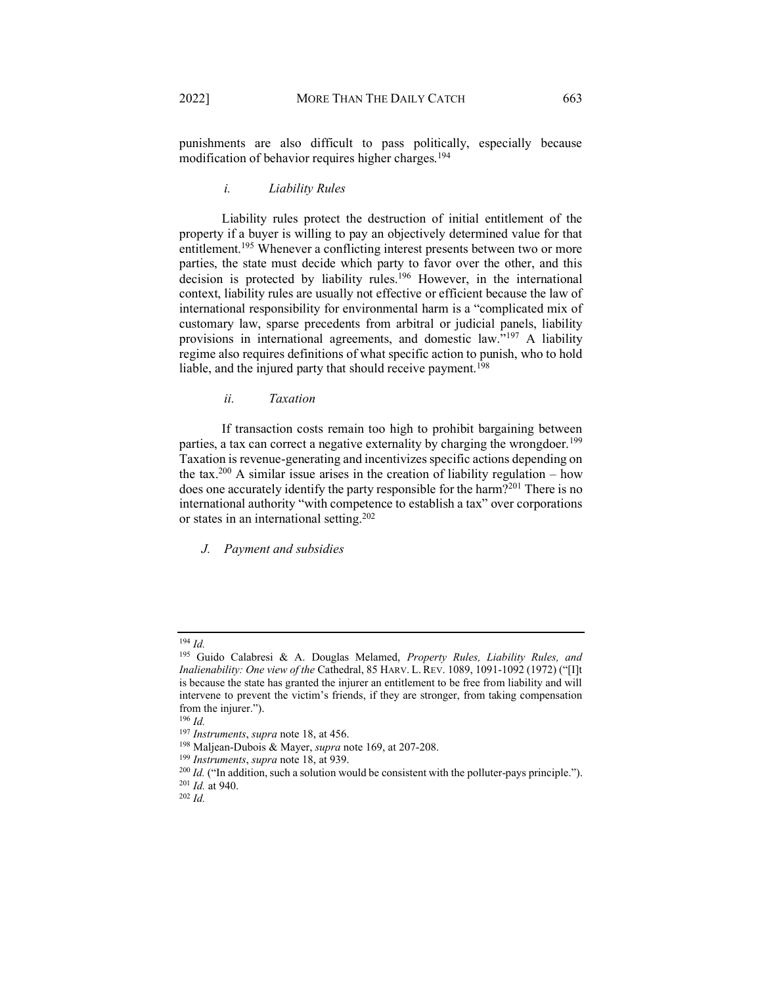punishments are also difficult to pass politically, especially because modification of behavior requires higher charges.<sup>194</sup>

#### *i. Liability Rules*

<span id="page-24-0"></span> Liability rules protect the destruction of initial entitlement of the property if a buyer is willing to pay an objectively determined value for that entitlement.195 Whenever a conflicting interest presents between two or more parties, the state must decide which party to favor over the other, and this decision is protected by liability rules.196 However, in the international context, liability rules are usually not effective or efficient because the law of international responsibility for environmental harm is a "complicated mix of customary law, sparse precedents from arbitral or judicial panels, liability provisions in international agreements, and domestic law."<sup>197</sup> A liability regime also requires definitions of what specific action to punish, who to hold liable, and the injured party that should receive payment.<sup>198</sup>

# *ii. Taxation*

<span id="page-24-1"></span> If transaction costs remain too high to prohibit bargaining between parties, a tax can correct a negative externality by charging the wrongdoer.<sup>199</sup> Taxation is revenue-generating and incentivizes specific actions depending on the tax.<sup>200</sup> A similar issue arises in the creation of liability regulation – how does one accurately identify the party responsible for the harm?<sup>201</sup> There is no international authority "with competence to establish a tax" over corporations or states in an international setting.202

<span id="page-24-2"></span>*J. Payment and subsidies*

<sup>194</sup> *Id.* 

<sup>195</sup> Guido Calabresi & A. Douglas Melamed, *Property Rules, Liability Rules, and Inalienability: One view of the Cathedral, 85 HARV. L. REV. 1089, 1091-1092 (1972)* ("[I]t is because the state has granted the injurer an entitlement to be free from liability and will intervene to prevent the victim's friends, if they are stronger, from taking compensation from the injurer.").

<sup>&</sup>lt;sup>196</sup> *Id. Instruments, supra* note 18, at 456.

<sup>&</sup>lt;sup>198</sup> Maljean-Dubois & Mayer, *supra* note 169, at 207-208.<br><sup>199</sup> *Instruments*, *supra* note 18, at 939.<br><sup>200</sup> *Id.* ("In addition, such a solution would be consistent with the polluter-pays principle.").

<sup>201</sup> *Id.* at 940. 202 *Id.*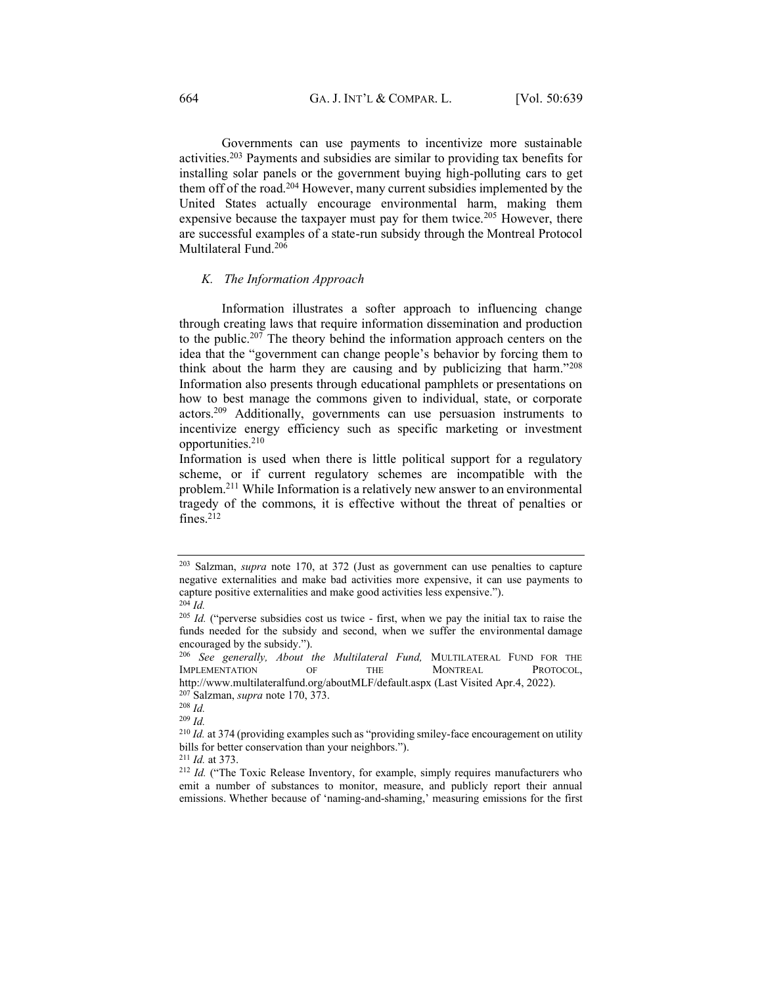Governments can use payments to incentivize more sustainable activities.203 Payments and subsidies are similar to providing tax benefits for installing solar panels or the government buying high-polluting cars to get them off of the road.204 However, many current subsidies implemented by the United States actually encourage environmental harm, making them expensive because the taxpayer must pay for them twice.<sup>205</sup> However, there are successful examples of a state-run subsidy through the Montreal Protocol Multilateral Fund.<sup>206</sup>

#### <span id="page-25-0"></span>*K. The Information Approach*

 Information illustrates a softer approach to influencing change through creating laws that require information dissemination and production to the public.<sup>207</sup> The theory behind the information approach centers on the idea that the "government can change people's behavior by forcing them to think about the harm they are causing and by publicizing that harm.<sup> $208$ </sup> Information also presents through educational pamphlets or presentations on how to best manage the commons given to individual, state, or corporate actors.209 Additionally, governments can use persuasion instruments to incentivize energy efficiency such as specific marketing or investment opportunities.210

Information is used when there is little political support for a regulatory scheme, or if current regulatory schemes are incompatible with the problem.211 While Information is a relatively new answer to an environmental tragedy of the commons, it is effective without the threat of penalties or fines. $212$ 

<sup>203</sup> Salzman, *supra* note 170, at 372 (Just as government can use penalties to capture negative externalities and make bad activities more expensive, it can use payments to capture positive externalities and make good activities less expensive."). <sup>204</sup> *Id.*

<sup>&</sup>lt;sup>205</sup> *Id.* ("perverse subsidies cost us twice - first, when we pay the initial tax to raise the funds needed for the subsidy and second, when we suffer the environmental damage encouraged by the subsidy.").

<sup>206</sup> *See generally, About the Multilateral Fund,* MULTILATERAL FUND FOR THE IMPLEMENTATION OF THE MONTREAL PROTOCOL, http://www.multilateralfund.org/aboutMLF/default.aspx (Last Visited Apr.4, 2022). 207 Salzman, *supra* note 170, 373. 208 *Id.*

<sup>209</sup> *Id.*

<sup>&</sup>lt;sup>210</sup> *Id.* at 374 (providing examples such as "providing smiley-face encouragement on utility bills for better conservation than your neighbors.'').  $2^{11}$  *Id.* at 373.

<sup>&</sup>lt;sup>212</sup> *Id.* ("The Toxic Release Inventory, for example, simply requires manufacturers who emit a number of substances to monitor, measure, and publicly report their annual emissions. Whether because of 'naming-and-shaming,' measuring emissions for the first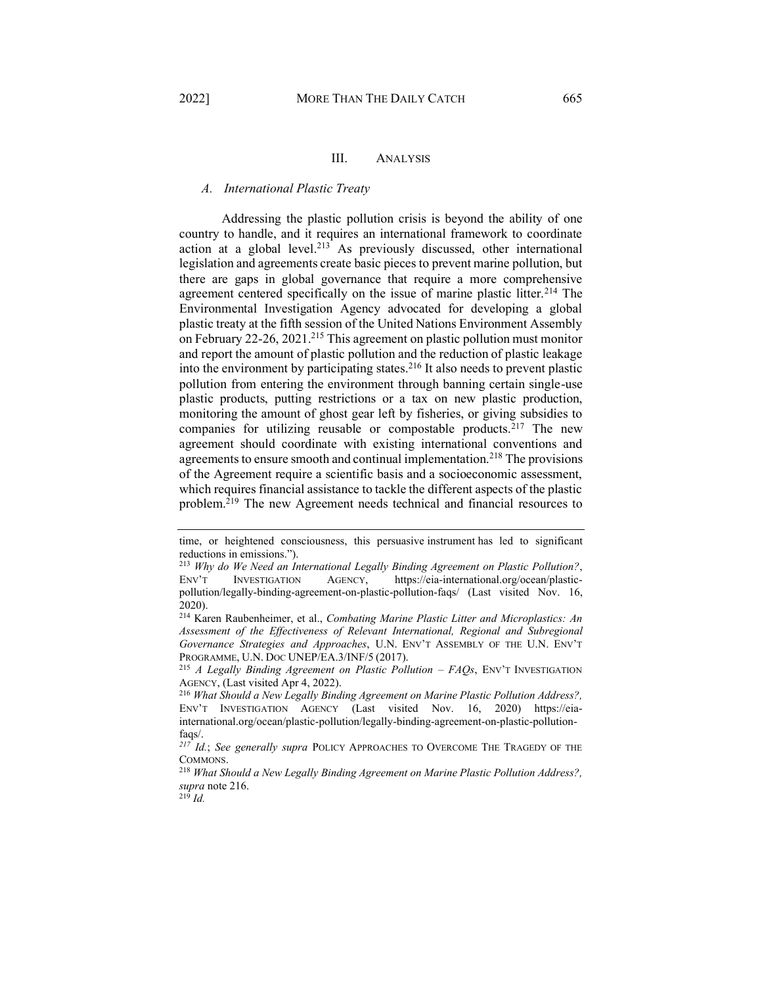# III. ANALYSIS

#### <span id="page-26-1"></span><span id="page-26-0"></span>*A. International Plastic Treaty*

 Addressing the plastic pollution crisis is beyond the ability of one country to handle, and it requires an international framework to coordinate action at a global level.<sup>213</sup> As previously discussed, other international legislation and agreements create basic pieces to prevent marine pollution, but there are gaps in global governance that require a more comprehensive agreement centered specifically on the issue of marine plastic litter.<sup>214</sup> The Environmental Investigation Agency advocated for developing a global plastic treaty at the fifth session of the United Nations Environment Assembly on February 22-26, 2021.<sup>215</sup> This agreement on plastic pollution must monitor and report the amount of plastic pollution and the reduction of plastic leakage into the environment by participating states.<sup>216</sup> It also needs to prevent plastic pollution from entering the environment through banning certain single-use plastic products, putting restrictions or a tax on new plastic production, monitoring the amount of ghost gear left by fisheries, or giving subsidies to companies for utilizing reusable or compostable products.<sup>217</sup> The new agreement should coordinate with existing international conventions and agreements to ensure smooth and continual implementation.<sup>218</sup> The provisions of the Agreement require a scientific basis and a socioeconomic assessment, which requires financial assistance to tackle the different aspects of the plastic problem.<sup>219</sup> The new Agreement needs technical and financial resources to

time, or heightened consciousness, this persuasive instrument has led to significant reductions in emissions.´).

<sup>213</sup> *Why do We Need an International Legally Binding Agreement on Plastic Pollution?*, ENV'T INVESTIGATION AGENCY, https://eia-international.org/ocean/plasticpollution/legally-binding-agreement-on-plastic-pollution-faqs/ (Last visited Nov. 16, 2020).

<sup>214</sup> Karen Raubenheimer, et al., *Combating Marine Plastic Litter and Microplastics: An Assessment of the Effectiveness of Relevant International, Regional and Subregional Governance Strategies and Approaches*, U.N. ENV'T ASSEMBLY OF THE U.N. ENV'T PROGRAMME, U.N. DOC UNEP/EA.3/INF/5 (2017).<br><sup>215</sup> *A Legally Binding Agreement on Plastic Pollution – FAOs*, ENV'T INVESTIGATION

AGENCY, (Last visited Apr 4, 2022). 216 *What Should a New Legally Binding Agreement on Marine Plastic Pollution Address?,* 

ENV'T INVESTIGATION AGENCY (Last visited Nov. 16, 2020) https://eiainternational.org/ocean/plastic-pollution/legally-binding-agreement-on-plastic-pollutionfaqs/.

*<sup>217</sup> Id.*; *See generally supra* POLICY APPROACHES TO OVERCOME THE TRAGEDY OF THE COMMONS.

<sup>218</sup> *What Should a New Legally Binding Agreement on Marine Plastic Pollution Address?, supra* note 216. 219 *Id.*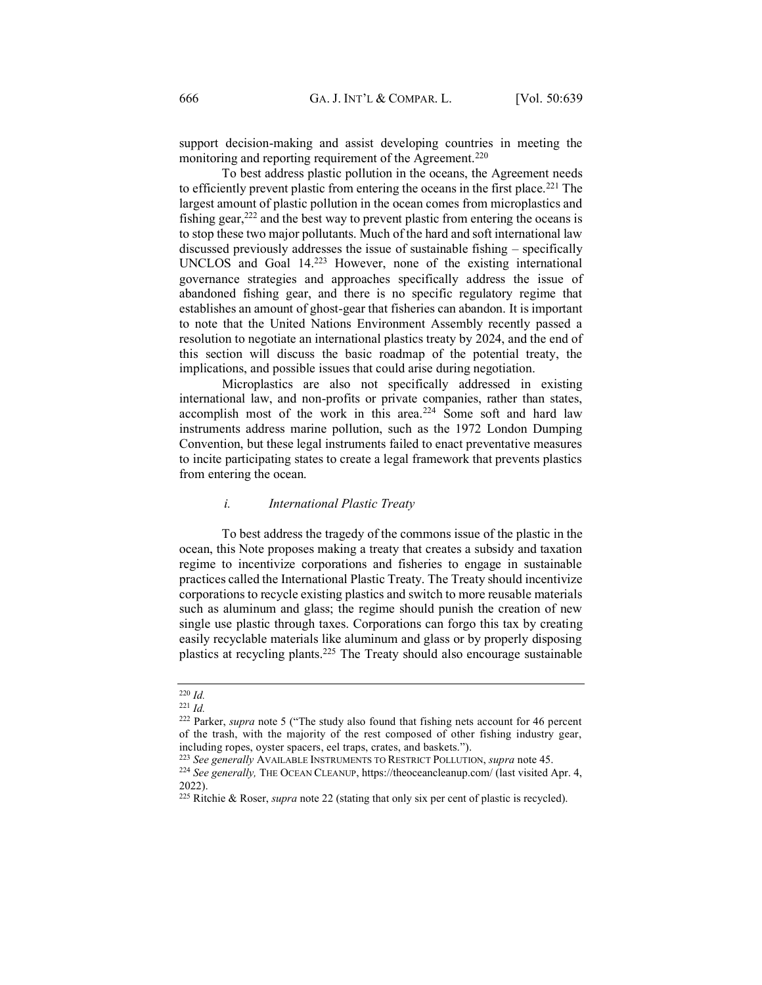support decision-making and assist developing countries in meeting the monitoring and reporting requirement of the Agreement.<sup>220</sup>

 To best address plastic pollution in the oceans, the Agreement needs to efficiently prevent plastic from entering the oceans in the first place.<sup>221</sup> The largest amount of plastic pollution in the ocean comes from microplastics and fishing gear, $222$  and the best way to prevent plastic from entering the oceans is to stop these two major pollutants. Much of the hard and soft international law discussed previously addresses the issue of sustainable fishing  $-$  specifically UNCLOS and Goal 14.223 However, none of the existing international governance strategies and approaches specifically address the issue of abandoned fishing gear, and there is no specific regulatory regime that establishes an amount of ghost-gear that fisheries can abandon. It is important to note that the United Nations Environment Assembly recently passed a resolution to negotiate an international plastics treaty by 2024, and the end of this section will discuss the basic roadmap of the potential treaty, the implications, and possible issues that could arise during negotiation.

 Microplastics are also not specifically addressed in existing international law, and non-profits or private companies, rather than states, accomplish most of the work in this area.<sup>224</sup> Some soft and hard law instruments address marine pollution, such as the 1972 London Dumping Convention, but these legal instruments failed to enact preventative measures to incite participating states to create a legal framework that prevents plastics from entering the ocean.

#### *i. International Plastic Treaty*

<span id="page-27-0"></span> To best address the tragedy of the commons issue of the plastic in the ocean, this Note proposes making a treaty that creates a subsidy and taxation regime to incentivize corporations and fisheries to engage in sustainable practices called the International Plastic Treaty. The Treaty should incentivize corporations to recycle existing plastics and switch to more reusable materials such as aluminum and glass; the regime should punish the creation of new single use plastic through taxes. Corporations can forgo this tax by creating easily recyclable materials like aluminum and glass or by properly disposing plastics at recycling plants.225 The Treaty should also encourage sustainable

<sup>220</sup> *Id.*

<sup>221</sup> *Id.*

<sup>&</sup>lt;sup>222</sup> Parker, *supra* note 5 ("The study also found that fishing nets account for 46 percent of the trash, with the majority of the rest composed of other fishing industry gear, including ropes, oyster spacers, eel traps, crates, and baskets.").

<sup>223</sup> *See generally* AVAILABLE INSTRUMENTS TO RESTRICT POLLUTION, *supra* note 45.

<sup>224</sup> *See generally,* THE OCEAN CLEANUP, https://theoceancleanup.com/ (last visited Apr. 4, 2022).

<sup>225</sup> Ritchie & Roser, *supra* note 22 (stating that only six per cent of plastic is recycled).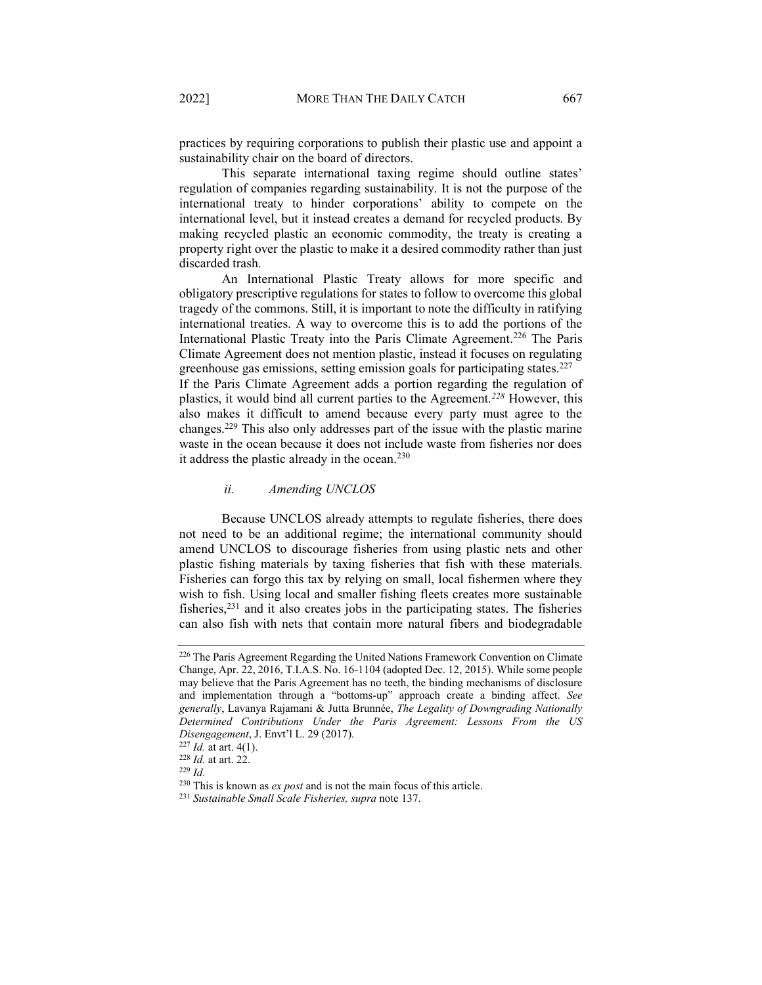practices by requiring corporations to publish their plastic use and appoint a sustainability chair on the board of directors.

This separate international taxing regime should outline states' regulation of companies regarding sustainability. It is not the purpose of the international treaty to hinder corporations' ability to compete on the international level, but it instead creates a demand for recycled products. By making recycled plastic an economic commodity, the treaty is creating a property right over the plastic to make it a desired commodity rather than just discarded trash.

 An International Plastic Treaty allows for more specific and obligatory prescriptive regulations for states to follow to overcome this global tragedy of the commons. Still, it is important to note the difficulty in ratifying international treaties. A way to overcome this is to add the portions of the International Plastic Treaty into the Paris Climate Agreement.<sup>226</sup> The Paris Climate Agreement does not mention plastic, instead it focuses on regulating greenhouse gas emissions, setting emission goals for participating states.<sup>227</sup>

If the Paris Climate Agreement adds a portion regarding the regulation of plastics, it would bind all current parties to the Agreement.*<sup>228</sup>* However, this also makes it difficult to amend because every party must agree to the changes.229 This also only addresses part of the issue with the plastic marine waste in the ocean because it does not include waste from fisheries nor does it address the plastic already in the ocean.<sup>230</sup>

#### *ii. Amending UNCLOS*

<span id="page-28-0"></span> Because UNCLOS already attempts to regulate fisheries, there does not need to be an additional regime; the international community should amend UNCLOS to discourage fisheries from using plastic nets and other plastic fishing materials by taxing fisheries that fish with these materials. Fisheries can forgo this tax by relying on small, local fishermen where they wish to fish. Using local and smaller fishing fleets creates more sustainable fisheries,<sup>231</sup> and it also creates jobs in the participating states. The fisheries can also fish with nets that contain more natural fibers and biodegradable

<sup>226</sup> The Paris Agreement Regarding the United Nations Framework Convention on Climate Change, Apr. 22, 2016, T.I.A.S. No. 16-1104 (adopted Dec. 12, 2015). While some people may believe that the Paris Agreement has no teeth, the binding mechanisms of disclosure and implementation through a "bottoms-up" approach create a binding affect. See *generally*, Lavanya Rajamani & Jutta Brunnée, *The Legality of Downgrading Nationally Determined Contributions Under the Paris Agreement: Lessons From the US Disengagement*, *J. Envt*'l L. 29 (2017).

<sup>227</sup> *Id.* at art. 4(1).

<sup>228</sup> *Id.* at art. 22. 229 *Id.*

<sup>230</sup> This is known as *ex post* and is not the main focus of this article. 231 *Sustainable Small Scale Fisheries, supra* note 137.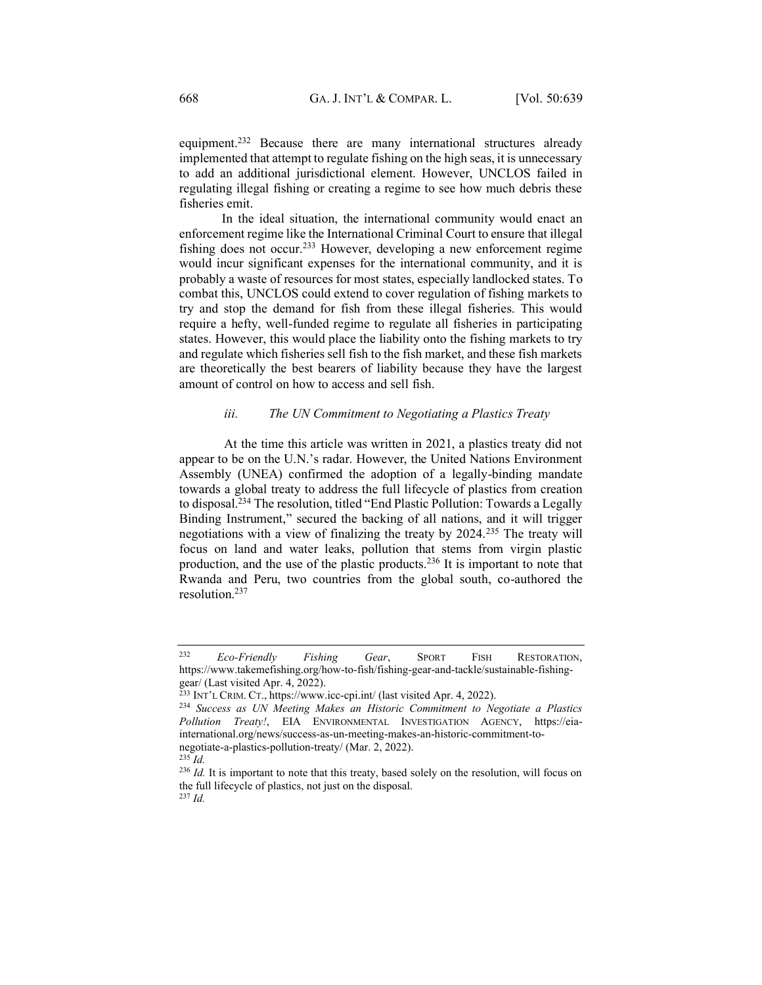equipment.<sup>232</sup> Because there are many international structures already implemented that attempt to regulate fishing on the high seas, it is unnecessary to add an additional jurisdictional element. However, UNCLOS failed in regulating illegal fishing or creating a regime to see how much debris these fisheries emit.

 In the ideal situation, the international community would enact an enforcement regime like the International Criminal Court to ensure that illegal fishing does not occur.233 However, developing a new enforcement regime would incur significant expenses for the international community, and it is probably a waste of resources for most states, especially landlocked states. To combat this, UNCLOS could extend to cover regulation of fishing markets to try and stop the demand for fish from these illegal fisheries. This would require a hefty, well-funded regime to regulate all fisheries in participating states. However, this would place the liability onto the fishing markets to try and regulate which fisheries sell fish to the fish market, and these fish markets are theoretically the best bearers of liability because they have the largest amount of control on how to access and sell fish.

#### *iii. The UN Commitment to Negotiating a Plastics Treaty*

<span id="page-29-0"></span>At the time this article was written in 2021, a plastics treaty did not appear to be on the U.N.'s radar. However, the United Nations Environment Assembly (UNEA) confirmed the adoption of a legally-binding mandate towards a global treaty to address the full lifecycle of plastics from creation to disposal.<sup>234</sup> The resolution, titled "End Plastic Pollution: Towards a Legally Binding Instrument," secured the backing of all nations, and it will trigger negotiations with a view of finalizing the treaty by 2024.235 The treaty will focus on land and water leaks, pollution that stems from virgin plastic production, and the use of the plastic products.236 It is important to note that Rwanda and Peru, two countries from the global south, co-authored the resolution.237

<sup>232</sup> *Eco-Friendly Fishing Gear*, SPORT FISH RESTORATION, https://www.takemefishing.org/how-to-fish/fishing-gear-and-tackle/sustainable-fishinggear/ (Last visited Apr. 4, 2022).

 $^{233}$  INT'L CRIM. CT., https://www.icc-cpi.int/ (last visited Apr. 4, 2022).

<sup>234</sup> *Success as UN Meeting Makes an Historic Commitment to Negotiate a Plastics Pollution Treaty!*, EIA ENVIRONMENTAL INVESTIGATION AGENCY, https://eiainternational.org/news/success-as-un-meeting-makes-an-historic-commitment-tonegotiate-a-plastics-pollution-treaty/ (Mar. 2, 2022). 235 *Id.* 

<sup>&</sup>lt;sup>236</sup> *Id.* It is important to note that this treaty, based solely on the resolution, will focus on the full lifecycle of plastics, not just on the disposal. <sup>237</sup> *Id.*